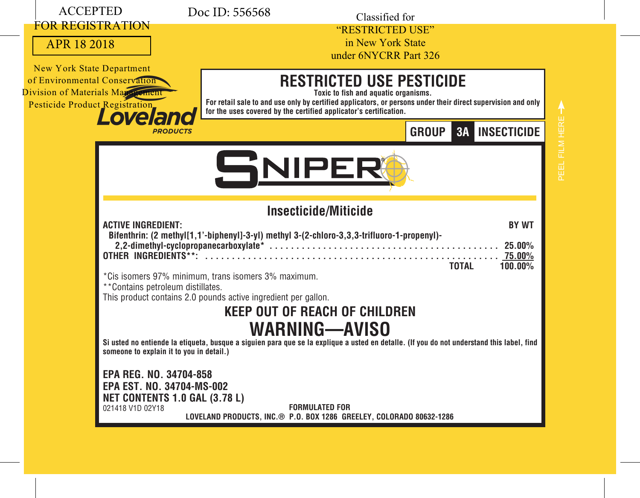| <b>ACCEPTED</b>                                                                                                                                                       | Doc ID: 556568<br>Classified for                                                                                                                                                                                                                                                                      |
|-----------------------------------------------------------------------------------------------------------------------------------------------------------------------|-------------------------------------------------------------------------------------------------------------------------------------------------------------------------------------------------------------------------------------------------------------------------------------------------------|
| <b>FOR REGISTRATION</b><br>APR 18 2018                                                                                                                                | "RESTRICTED USE"<br>in New York State<br>under 6NYCRR Part 326                                                                                                                                                                                                                                        |
| <b>New York State Department</b><br>of Environmental Conservation<br>Division of Materials May Frement<br><b>Pesticide Product Registration</b><br>Lovela<br>PRODUCTS | <b>RESTRICTED USE PESTICIDE</b><br>Toxic to fish and aquatic organisms.<br>For retail sale to and use only by certified applicators, or persons under their direct supervision and only<br>for the uses covered by the certified applicator's certification.<br><b>3A INSECTICIDE</b><br><b>GROUP</b> |
|                                                                                                                                                                       | SNIPER                                                                                                                                                                                                                                                                                                |
| <b>ACTIVE INGREDIENT:</b><br><b>OTHER INGREDIENTS**:</b>                                                                                                              | Insecticide/Miticide<br><b>BY WT</b><br>Bifenthrin: (2 methyl[1,1'-biphenyl]-3-yl) methyl 3-(2-chloro-3,3,3-trifluoro-1-propenyl)-                                                                                                                                                                    |
| **Contains petroleum distillates.                                                                                                                                     | <b>TOTAL</b><br>100.00%<br>*Cis isomers 97% minimum, trans isomers 3% maximum.<br>This product contains 2.0 pounds active ingredient per gallon.<br><b>KEEP OUT OF REACH OF CHILDREN</b><br><b>WARNING-AVISO</b>                                                                                      |
| someone to explain it to you in detail.)                                                                                                                              | Si usted no entiende la etiqueta, busque a siquien para que se la explique a usted en detalle. (If you do not understand this label, find                                                                                                                                                             |
| EPA REG. NO. 34704-858<br>EPA EST. NO. 34704-MS-002<br><b>NET CONTENTS 1.0 GAL (3.78 L)</b><br>021418 V1D 02Y18                                                       | <b>FORMULATED FOR</b><br>LOVELAND PRODUCTS, INC.® P.O. BOX 1286 GREELEY, COLORADO 80632-1286                                                                                                                                                                                                          |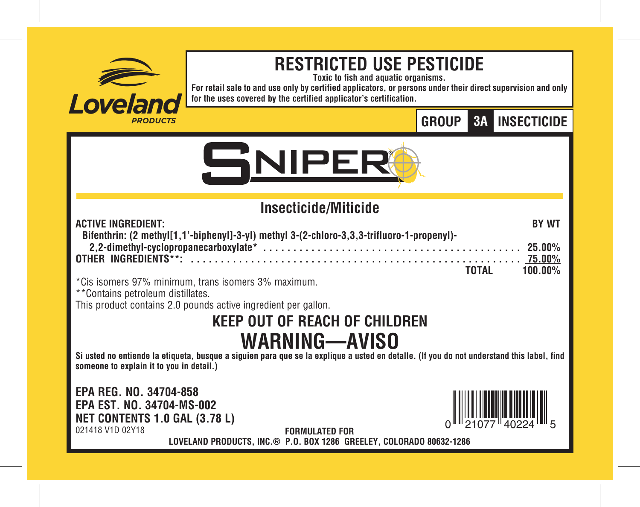

# **RESTRICTED USE PESTICIDE**

**Toxic to fish and aquatic organisms.**

**For retail sale to and use only by certified applicators, or persons under their direct supervision and only for the uses covered by the certified applicator's certification.**

# **GROUP INSECTICIDE 3A**



# **Insecticide/Miticide**

| <b>ACTIVE INGREDIENT:</b>                                                                  | BY WT         |
|--------------------------------------------------------------------------------------------|---------------|
| Bifenthrin: (2 methyl[1,1'-biphenyl]-3-yl) methyl 3-(2-chloro-3,3,3-trifluoro-1-propenyl)- |               |
|                                                                                            |               |
|                                                                                            |               |
|                                                                                            | TOTAL 100.00% |

\*Cis isomers 97% minimum, trans isomers 3% maximum.

\*\*Contains petroleum distillates.

This product contains 2.0 pounds active ingredient per gallon.

# **KEEP OUT OF REACH OF CHILDREN WARNING—AVISO**

**Si usted no entiende la etiqueta, busque a siguien para que se la explique a usted en detalle. (If you do not understand this label, find someone to explain it to you in detail.)**

**EPA REG. NO. 34704-858 EPA EST. NO. 34704-MS-002 NET CONTENTS 1.0 GAL (3.78 L)** 021418 V1D 02Y18



**FORMULATED FOR LOVELAND PRODUCTS, INC.® P.O. BOX 1286 GREELEY, COLORADO 80632-1286**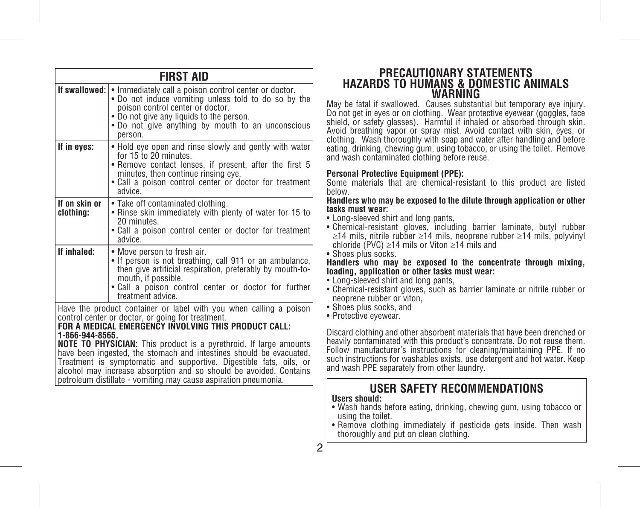|                                                                                                                                                                                                                                                                                  | <b>FIRST AID</b>                                                                                                                                                                                                                                                                                                                                                                                                                                                               |  |  |  |  |  |  |  |  |
|----------------------------------------------------------------------------------------------------------------------------------------------------------------------------------------------------------------------------------------------------------------------------------|--------------------------------------------------------------------------------------------------------------------------------------------------------------------------------------------------------------------------------------------------------------------------------------------------------------------------------------------------------------------------------------------------------------------------------------------------------------------------------|--|--|--|--|--|--|--|--|
| If swallowed: I<br>• Immediately call a poison control center or doctor.<br>• Do not induce vomiting unless told to do so by the<br>poison control center or doctor.<br>• Do not give any liquids to the person.<br>• Do not give anything by mouth to an unconscious<br>person. |                                                                                                                                                                                                                                                                                                                                                                                                                                                                                |  |  |  |  |  |  |  |  |
| If in eves:                                                                                                                                                                                                                                                                      | • Hold eye open and rinse slowly and gently with water<br>for 15 to 20 minutes.<br>. Remove contact lenses, if present, after the first 5<br>minutes, then continue rinsing eve.<br>. Call a poison control center or doctor for treatment<br>advice.                                                                                                                                                                                                                          |  |  |  |  |  |  |  |  |
| If on skin or<br>clothina:                                                                                                                                                                                                                                                       | • Take off contaminated clothing.<br>• Rinse skin immediately with plenty of water for 15 to<br>20 minutes.<br>. Call a poison control center or doctor for treatment<br>advice                                                                                                                                                                                                                                                                                                |  |  |  |  |  |  |  |  |
| If inhaled:                                                                                                                                                                                                                                                                      | • Move person to fresh air.<br>• If person is not breathing, call 911 or an ambulance,<br>then give artificial respiration, preferably by mouth-to-<br>mouth, if possible.<br>. Call a poison control center or doctor for further<br>treatment advice.                                                                                                                                                                                                                        |  |  |  |  |  |  |  |  |
| 1-866-944-8565.                                                                                                                                                                                                                                                                  | Have the product container or label with you when calling a poison<br>control center or doctor, or going for treatment.<br>FOR A MEDICAL EMERGENČY IŇVOLVING THIS PRODUCT CALL:<br><b>NOTE TO PHYSICIAN:</b> This product is a pyrethroid. If large amounts<br>have been ingested, the stomach and intestines should be evacuated.<br>Treatment is symptomatic and supportive. Digestible fats, oils, or<br>alcohol may increase absorption and so should be avoided. Contains |  |  |  |  |  |  |  |  |

alcohol may increase absorption and so should be avoided. Contains petroleum distillate - vomiting may cause aspiration pneumonia.

# **PRECAUTIONARY STATEMENTS HAZARDS TO HUMANS & DOMESTIC ANIMALS WARNING**

May be fatal if swallowed. Causes substantial but temporary eye injury. Do not get in eyes or on clothing. Wear protective eyewear (goggles, face shield, or safety glasses). Harmful if inhaled or absorbed through skin. Avoid breathing vapor or spray mist. Avoid contact with skin, eyes, or clothing. Wash thoroughly with soap and water after handling and before eating, drinking, chewing gum, using tobacco, or using the toilet. Remove and wash contaminated clothing before reuse.

# **Personal Protective Equipment (PPE):**

Some materials that are chemical-resistant to this product are listed below.

**Handlers who may be exposed to the dilute through application or other tasks must wear:**

- Long-sleeved shirt and long pants,
- Chemical-resistant gloves, including barrier laminate, butyl rubber ≥14 mils, nitrile rubber ≥14 mils, neoprene rubber ≥14 mils, polyvinyl chloride (PVC) ≥14 mils or Viton ≥14 mils and
- Shoes plus socks.

#### **Handlers who may be exposed to the concentrate through mixing, loading, application or other tasks must wear:**

- Long-sleeved shirt and long pants,
- Chemical-resistant gloves, such as barrier laminate or nitrile rubber or neoprene rubber or viton,
- Shoes plus socks, and
- Protective eyewear.

Discard clothing and other absorbent materials that have been drenched or heavily contaminated with this product's concentrate. Do not reuse them. Follow manufacturer's instructions for cleaning/maintaining PPE. If no such instructions for washables exists, use detergent and hot water. Keep and wash PPE separately from other laundry.

# **USER SAFETY RECOMMENDATIONS**

# **Users should:**

- Wash hands before eating, drinking, chewing gum, using tobacco or using the toilet.
- Remove clothing immediately if pesticide gets inside. Then wash thoroughly and put on clean clothing.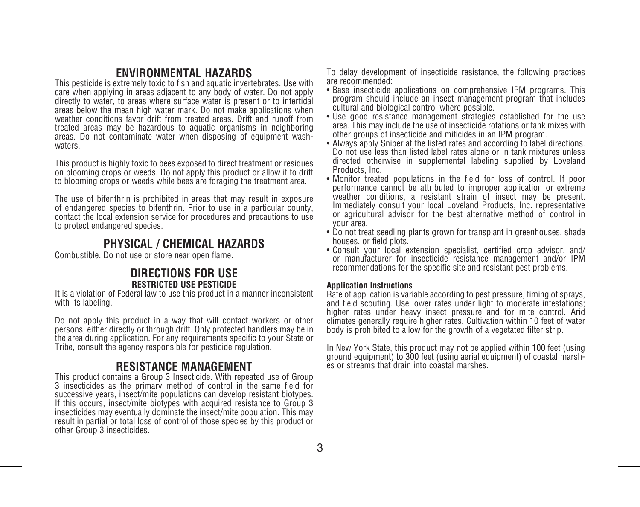# **ENVIRONMENTAL HAZARDS**

This pesticide is extremely toxic to fish and aquatic invertebrates. Use with care when applying in areas adjacent to any body of water. Do not apply directly to water, to areas where surface water is present or to intertidal areas below the mean high water mark. Do not make applications when weather conditions favor drift from treated areas. Drift and runoff from treated areas may be hazardous to aquatic organisms in neighboring areas. Do not contaminate water when disposing of equipment wash- waters.

This product is highly toxic to bees exposed to direct treatment or residues on blooming crops or weeds. Do not apply this product or allow it to drift to blooming crops or weeds while bees are foraging the treatment area.

The use of bifenthrin is prohibited in areas that may result in exposure of endangered species to bifenthrin. Prior to use in a particular county, contact the local extension service for procedures and precautions to use to protect endangered species.

# **PHYSICAL / CHEMICAL HAZARDS**

Combustible. Do not use or store near open flame.

# **DIRECTIONS FOR USE RESTRICTED USE PESTICIDE**

It is a violation of Federal law to use this product in a manner inconsistent with its labeling.

Do not apply this product in a way that will contact workers or other persons, either directly or through drift. Only protected handlers may be in the area during application. For any requirements specific to your State or Tribe, consult the agency responsible for pesticide regulation.

# **RESISTANCE MANAGEMENT**

This product contains a Group 3 Insecticide. With repeated use of Group 3 insecticides as the primary method of control in the same field for successive years, insect/mite populations can develop resistant biotypes. If this occurs, insect/mite biotypes with acquired resistance to Group 3 insecticides may eventually dominate the insect/mite population. This may result in partial or total loss of control of those species by this product or other Group 3 insecticides.

To delay development of insecticide resistance, the following practices are recommended:

- Base insecticide applications on comprehensive IPM programs. This program should include an insect management program that includes cultural and biological control where possible.
- Use good resistance management strategies established for the use area. This may include the use of insecticide rotations or tank mixes with other groups of insecticide and miticides in an IPM program.
- Always apply Sniper at the listed rates and according to label directions. Do not use less than listed label rates alone or in tank mixtures unless directed otherwise in supplemental labeling supplied by Loveland Products, Inc.
- Monitor treated populations in the field for loss of control. If poor performance cannot be attributed to improper application or extreme weather conditions, a resistant strain of insect may be present. Immediately consult your local Loveland Products, Inc. representative or agricultural advisor for the best alternative method of control in your area.
- Do not treat seedling plants grown for transplant in greenhouses, shade houses, or field plots.
- Consult your local extension specialist, certified crop advisor, and/ or manufacturer for insecticide resistance management and/or IPM recommendations for the specific site and resistant pest problems.

#### **Application Instructions**

Rate of application is variable according to pest pressure, timing of sprays, and field scouting. Use lower rates under light to moderate infestations; higher rates under heavy insect pressure and for mite control. Arid climates generally require higher rates. Cultivation within 10 feet of water body is prohibited to allow for the growth of a vegetated filter strip.

In New York State, this product may not be applied within 100 feet (using ground equipment) to 300 feet (using aerial equipment) of coastal marshes or streams that drain into coastal marshes.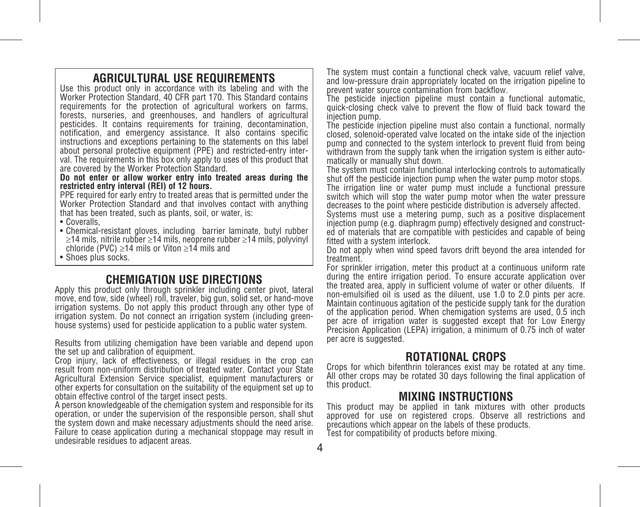# **AGRICULTURAL USE REQUIREMENTS**

Use this product only in accordance with its labeling and with the Worker Protection Standard, 40 CFR part 170. This Standard contains requirements for the protection of agricultural workers on farms, forests, nurseries, and greenhouses, and handlers of agricultural pesticides. It contains requirements for training, decontamination, notification, and emergency assistance. It also contains specific instructions and exceptions pertaining to the statements on this label about personal protective equipment (PPE) and restricted-entry interval. The requirements in this box only apply to uses of this product that are covered by the Worker Protection Standard.

**Do not enter or allow worker entry into treated areas during the restricted entry interval (REI) of 12 hours.**

PPE required for early entry to treated areas that is permitted under the Worker Protection Standard and that involves contact with anything that has been treated, such as plants, soil, or water, is:

- Coveralls,
- Chemical-resistant gloves, including barrier laminate, butyl rubber ≥14 mils, nitrile rubber ≥14 mils, neoprene rubber ≥14 mils, polyvinyl chloride (PVC) ≥14 mils or Viton ≥14 mils and
- Shoes plus socks.

# **CHEMIGATION USE DIRECTIONS**

Apply this product only through sprinkler including center pivot, lateral move, end tow, side (wheel) roll, traveler, big gun, solid set, or hand-move irrigation systems. Do not apply this product through any other type of irrigation system. Do not connect an irrigation system (including greenhouse systems) used for pesticide application to a public water system.

Results from utilizing chemigation have been variable and depend upon the set up and calibration of equipment.

Crop injury, lack of effectiveness, or illegal residues in the crop can result from non-uniform distribution of treated water. Contact your State Agricultural Extension Service specialist, equipment manufacturers or other experts for consultation on the suitability of the equipment set up to obtain effective control of the target insect pests.

A person knowledgeable of the chemigation system and responsible for its operation, or under the supervision of the responsible person, shall shut the system down and make necessary adjustments should the need arise. Failure to cease application during a mechanical stoppage may result in undesirable residues to adjacent areas.

The system must contain a functional check valve, vacuum relief valve, and low-pressure drain appropriately located on the irrigation pipeline to prevent water source contamination from backflow.

The pesticide injection pipeline must contain a functional automatic, quick-closing check valve to prevent the flow of fluid back toward the injection pump.

The pesticide injection pipeline must also contain a functional, normally closed, solenoid-operated valve located on the intake side of the injection pump and connected to the system interlock to prevent fluid from being withdrawn from the supply tank when the irrigation system is either automatically or manually shut down.

The system must contain functional interlocking controls to automatically shut off the pesticide injection pump when the water pump motor stops. The irrigation line or water pump must include a functional pressure switch which will stop the water pump motor when the water pressure

decreases to the point where pesticide distribution is adversely affected. Systems must use a metering pump, such as a positive displacement injection pump (e.g. diaphragm pump) effectively designed and constructed of materials that are compatible with pesticides and capable of being fitted with a system interlock.

Do not apply when wind speed favors drift beyond the area intended for treatment.

For sprinkler irrigation, meter this product at a continuous uniform rate during the entire irrigation period. To ensure accurate application over the treated area, apply in sufficient volume of water or other diluents. If non-emulsified oil is used as the diluent, use 1.0 to 2.0 pints per acre. Maintain continuous agitation of the pesticide supply tank for the duration of the application period. When chemigation systems are used, 0.5 inch per acre of irrigation water is suggested except that for Low Energy Precision Application (LEPA) irrigation, a minimum of 0.75 inch of water per acre is suggested.

# **ROTATIONAL CROPS**

Crops for which bifenthrin tolerances exist may be rotated at any time. All other crops may be rotated 30 days following the final application of this product.

# **MIXING INSTRUCTIONS**

This product may be applied in tank mixtures with other products approved for use on registered crops. Observe all restrictions and precautions which appear on the labels of these products.

Test for compatibility of products before mixing.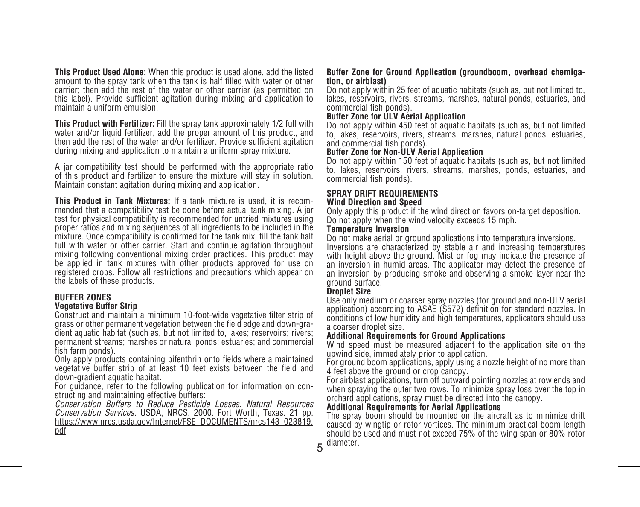**This Product Used Alone:** When this product is used alone, add the listed amount to the spray tank when the tank is half filled with water or other carrier; then add the rest of the water or other carrier (as permitted on this label). Provide sufficient agitation during mixing and application to maintain a uniform emulsion.

**This Product with Fertilizer:** Fill the spray tank approximately 1/2 full with water and/or liquid fertilizer, add the proper amount of this product, and then add the rest of the water and/or fertilizer. Provide sufficient agitation during mixing and application to maintain a uniform spray mixture.

A jar compatibility test should be performed with the appropriate ratio of this product and fertilizer to ensure the mixture will stay in solution. Maintain constant agitation during mixing and application.

**This Product in Tank Mixtures:** If a tank mixture is used, it is recommended that a compatibility test be done before actual tank mixing. A jar test for physical compatibility is recommended for untried mixtures using proper ratios and mixing sequences of all ingredients to be included in the mixture. Once compatibility is confirmed for the tank mix, fill the tank half full with water or other carrier. Start and continue agitation throughout mixing following conventional mixing order practices. This product may be applied in tank mixtures with other products approved for use on registered crops. Follow all restrictions and precautions which appear on the labels of these products.

#### **BUFFER ZONES Vegetative Buffer Strip**

Construct and maintain a minimum 10-foot-wide vegetative filter strip of grass or other permanent vegetation between the field edge and down-gradient aquatic habitat (such as, but not limited to, lakes; reservoirs; rivers; permanent streams; marshes or natural ponds; estuaries; and commercial fish farm ponds).

Only apply products containing bifenthrin onto fields where a maintained vegetative buffer strip of at least 10 feet exists between the field and down-gradient aquatic habitat.

For guidance, refer to the following publication for information on constructing and maintaining effective buffers:

*Conservation Buffers to Reduce Pesticide Losses. Natural Resources Conservation Services.* USDA, NRCS. 2000. Fort Worth, Texas. 21 pp. https://www.nrcs.usda.gov/Internet/FSE\_DOCUMENTS/nrcs143\_023819. pdf

#### **Buffer Zone for Ground Application (groundboom, overhead chemigation, or airblast)**

Do not apply within 25 feet of aquatic habitats (such as, but not limited to, lakes, reservoirs, rivers, streams, marshes, natural ponds, estuaries, and commercial fish ponds).

#### **Buffer Zone for ULV Aerial Application**

Do not apply within 450 feet of aquatic habitats (such as, but not limited to, lakes, reservoirs, rivers, streams, marshes, natural ponds, estuaries, and commercial fish ponds).

#### **Buffer Zone for Non-ULV Aerial Application**

Do not apply within 150 feet of aquatic habitats (such as, but not limited to, lakes, reservoirs, rivers, streams, marshes, ponds, estuaries, and commercial fish ponds).

#### **SPRAY DRIFT REQUIREMENTS Wind Direction and Speed**

Only apply this product if the wind direction favors on-target deposition. Do not apply when the wind velocity exceeds 15 mph.

#### **Temperature Inversion**

Do not make aerial or ground applications into temperature inversions. Inversions are characterized by stable air and increasing temperatures with height above the ground. Mist or fog may indicate the presence of an inversion in humid areas. The applicator may detect the presence of an inversion by producing smoke and observing a smoke layer near the ground surface.

#### **Droplet Size**

Use only medium or coarser spray nozzles (for ground and non-ULV aerial application) according to ASAE (S572) definition for standard nozzles. In conditions of low humidity and high temperatures, applicators should use a coarser droplet size.

#### **Additional Requirements for Ground Applications**

Wind speed must be measured adjacent to the application site on the upwind side, immediately prior to application.

For ground boom applications, apply using a nozzle height of no more than 4 feet above the ground or crop canopy.

For airblast applications, turn off outward pointing nozzles at row ends and when spraying the outer two rows. To minimize spray loss over the top in orchard applications, spray must be directed into the canopy.

#### **Additional Requirements for Aerial Applications**

5 diameter.The spray boom should be mounted on the aircraft as to minimize drift caused by wingtip or rotor vortices. The minimum practical boom length should be used and must not exceed 75% of the wing span or 80% rotor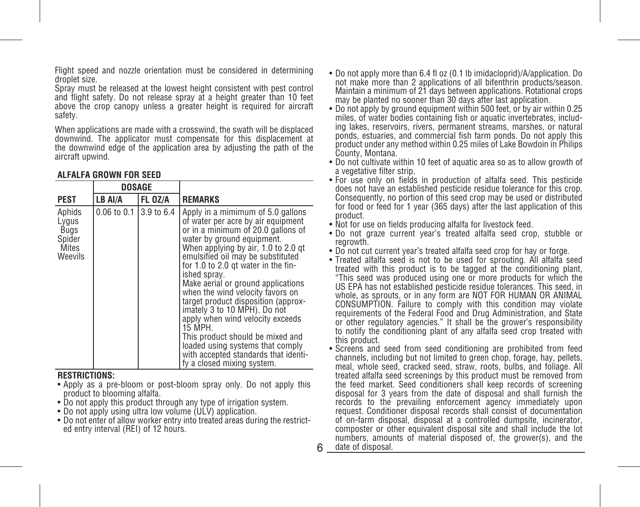Flight speed and nozzle orientation must be considered in determining droplet size.

Spray must be released at the lowest height consistent with pest control and flight safety. Do not release spray at a height greater than 10 feet above the crop canopy unless a greater height is required for aircraft safety.

When applications are made with a crosswind, the swath will be displaced downwind. The applicator must compensate for this displacement at the downwind edge of the application area by adjusting the path of the aircraft upwind.

### **ALFALFA GROWN FOR SEED**

|                                                       | <b>DOSAGE</b>   |            |                                                                                                                                                                                                                                                                                                                                                                                                                                                                                                                                                                                                                              |
|-------------------------------------------------------|-----------------|------------|------------------------------------------------------------------------------------------------------------------------------------------------------------------------------------------------------------------------------------------------------------------------------------------------------------------------------------------------------------------------------------------------------------------------------------------------------------------------------------------------------------------------------------------------------------------------------------------------------------------------------|
| <b>PEST</b>                                           | LB AI/A         | FL OZ/A    | <b>REMARKS</b>                                                                                                                                                                                                                                                                                                                                                                                                                                                                                                                                                                                                               |
| Aphids<br>Lygus<br>Bugs<br>Spider<br>Mites<br>Weevils | $0.06$ to $0.1$ | 3.9 to 6.4 | Apply in a mimimum of 5.0 gallons<br>of water per acre by air equipment<br>or in a minimum of 20.0 gallons of<br>water by ground equipment.<br>When applying by air, 1.0 to 2.0 gt<br>emulsified oil may be substituted<br>for 1.0 to 2.0 at water in the fin-<br>ished spray.<br>Make aerial or ground applications<br>when the wind velocity favors on<br>target product disposition (approx-<br>imately 3 to 10 MPH). Do not<br>apply when wind velocity exceeds<br>15 MPH.<br>This product should be mixed and<br>loaded using systems that comply<br>with accepted standards that identi-<br>fy a closed mixing system. |

#### **RESTRICTIONS:**

- Apply as a pre-bloom or post-bloom spray only. Do not apply this product to blooming alfalfa.
- Do not apply this product through any type of irrigation system.
- Do not apply using ultra low volume (ULV) application.
- Do not enter of allow worker entry into treated areas during the restricted entry interval (REI) of 12 hours.
- Do not apply more than 6.4 fl oz (0.1 lb imidacloprid)/A/application. Do not make more than 2 applications of all bifenthrin products/season. Maintain a minimum of 21 days between applications. Rotational crops may be planted no sooner than 30 days after last application.
- Do not apply by ground equipment within 500 feet, or by air within 0.25 ing lakes, reservoirs, rivers, permanent streams, marshes, or natural ponds, estuaries, and commercial fish farm ponds. Do not apply this product under any method within 0.25 miles of Lake Bowdoin in Philips County, Montana.
- Do not cultivate within 10 feet of aquatic area so as to allow growth of a vegetative filter strip.
- For use only on fields in production of alfalfa seed. This pesticide does not have an established pesticide residue tolerance for this crop. Consequently, no portion of this seed crop may be used or distributed for food or feed for 1 year (365 days) after the last application of this product.
- Not for use on fields producing alfalfa for livestock feed.
- Do not graze current year's treated alfalfa seed crop, stubble or regrowth.
- Do not cut current year's treated alfalfa seed crop for hay or forge.
- Treated alfalfa seed is not to be used for sprouting. All alfalfa seed treated with this product is to be tagged at the conditioning plant, "This seed was produced using one or more products for which the US EPA has not established pesticide residue tolerances. This seed, in whole, as sprouts, or in any form are NOT FOR HUMAN OR ANIMAL CONSUMPTION. Failure to comply with this condition may violate requirements of the Federal Food and Drug Administration, and State or other regulatory agencies." It shall be the grower's responsibility to notify the conditioning plant of any alfalfa seed crop treated with this product.
- 6 date of disposal.• Screens and seed from seed conditioning are prohibited from feed channels, including but not limited to green chop, forage, hay, pellets, meal, whole seed, cracked seed, straw, roots, bulbs, and foliage. All treated alfalfa seed screenings by this product must be removed from the feed market. Seed conditioners shall keep records of screening disposal for 3 years from the date of disposal and shall furnish the records to the prevailing enforcement agency immediately upon request. Conditioner disposal records shall consist of documentation of on-farm disposal, disposal at a controlled dumpsite, incinerator, composter or other equivalent disposal site and shall include the lot numbers, amounts of material disposed of, the grower(s), and the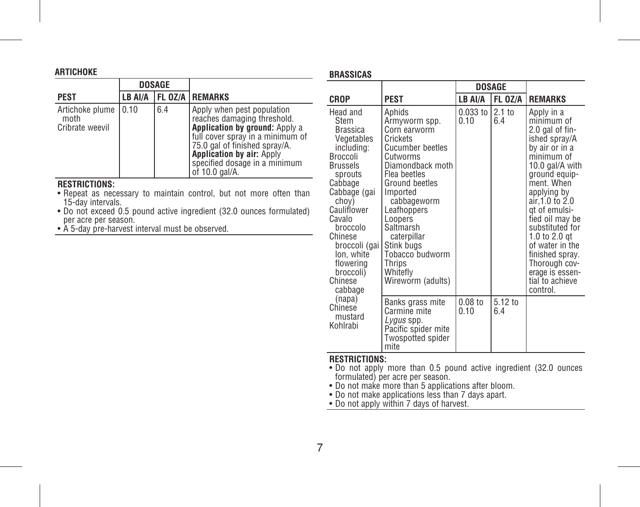|                                            |         | <b>DOSAGE</b> |                                                                                                                                                                                                                                                         |
|--------------------------------------------|---------|---------------|---------------------------------------------------------------------------------------------------------------------------------------------------------------------------------------------------------------------------------------------------------|
| <b>PEST</b>                                | LB AI/A |               | FL 0Z/A REMARKS                                                                                                                                                                                                                                         |
| Artichoke plume<br>moth<br>Cribrate weevil | 10.10   | 6.4           | Apply when pest population<br>reaches damaging threshold.<br>Application by ground: Apply a<br>full cover spray in a minimum of<br>75.0 gal of finished spray/A.<br><b>Application by air: Apply</b><br>specified dosage in a minimum<br>of 10.0 gal/A. |

# **RESTRICTIONS:**

**ARTICHOKE**

- Repeat as necessary to maintain control, but not more often than 15-day intervals.
- Do not exceed 0.5 pound active ingredient (32.0 ounces formulated) per acre per season.
- A 5-day pre-harvest interval must be observed.

#### **BRASSICAS**

|                                                                                                                                                                                                                                                                              |                                                                                                                                                                                                                                                                                                                     | <b>DOSAGE</b>      |                          |                                                                                                                                                                                                                                                                                                                                                                    |
|------------------------------------------------------------------------------------------------------------------------------------------------------------------------------------------------------------------------------------------------------------------------------|---------------------------------------------------------------------------------------------------------------------------------------------------------------------------------------------------------------------------------------------------------------------------------------------------------------------|--------------------|--------------------------|--------------------------------------------------------------------------------------------------------------------------------------------------------------------------------------------------------------------------------------------------------------------------------------------------------------------------------------------------------------------|
| CROP                                                                                                                                                                                                                                                                         | <b>PEST</b>                                                                                                                                                                                                                                                                                                         | LB AI/A            | FL OZ/A                  | <b>REMARKS</b>                                                                                                                                                                                                                                                                                                                                                     |
| Head and<br>Stem<br><b>Brassica</b><br>Vegetables<br>including:<br>Broccoli<br><b>Brussels</b><br>sprouts<br>Cabbage<br>Cabbage (gai<br>choy)<br>Cauliflower<br>Cavalo<br>broccolo<br>Chinese<br>broccoli (gai<br>lon, white<br>flowering<br>broccoli)<br>Chinese<br>cabbage | Aphids<br>Armyworm spp.<br>Corn earworm<br>Crickets<br>Cucumber beetles<br>Cutworms<br>Diamondback moth<br>Flea beetles<br>Ground beetles<br>Imported<br>cabbageworm<br>Leafhoppers<br>Loopers<br>Saltmarsh<br>caterpillar<br>Stink bugs<br>Tobacco <sup>-</sup> budworm<br>Thrios<br>Whitefly<br>Wireworm (adults) | $0.033$ to<br>0.10 | 2.1 <sub>to</sub><br>6.4 | Apply in a<br>minimum of<br>2.0 gal of fin-<br>ished spray/A<br>by air or in a<br>minimum of<br>10.0 gal/A with<br>ground equip-<br>ment. When<br>applying by<br>air.1.0 to 2.0<br>gt of emulsi-<br>fied oil may be<br>substituted for<br>1.0 to 2.0 $qt$<br>of water in the<br>finished spray.<br>Thorough cov-<br>erage is essen-<br>tial to achieve<br>control. |
| (napa)<br>Chinese<br>mustard<br>Kohlrabi                                                                                                                                                                                                                                     | Banks grass mite<br>Carmine mite<br>Lygus spp.<br>Pacific spider mite<br>Twospotted spider<br>mite                                                                                                                                                                                                                  | $0.08$ to<br>በ 1በ  | 5.12 to<br>6.4           |                                                                                                                                                                                                                                                                                                                                                                    |

# **RESTRICTIONS:**

- Do not apply more than 0.5 pound active ingredient (32.0 ounces<br>• formulated) per acre per season.<br>• Do not make more than 5 applications after bloom.<br>• Do not make applications less than 7 days apart.<br>• Do not apply wit
- 
- 
-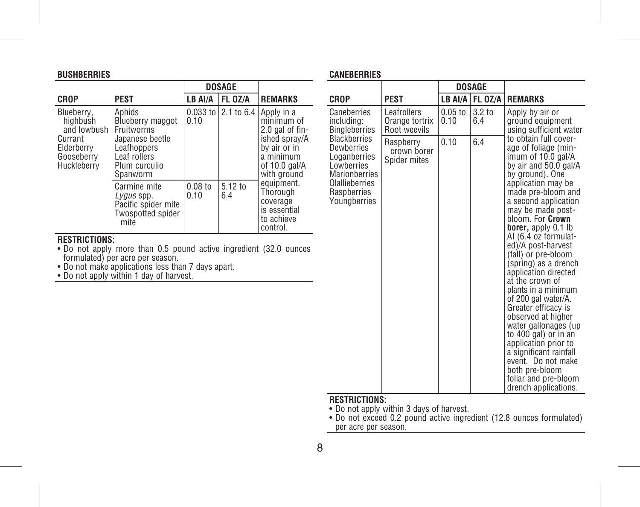| <b>BUSHBERRIES</b>                                                                          |                                                                                                                         |                   |                     |                                                                                                                             |  |  |  |  |
|---------------------------------------------------------------------------------------------|-------------------------------------------------------------------------------------------------------------------------|-------------------|---------------------|-----------------------------------------------------------------------------------------------------------------------------|--|--|--|--|
|                                                                                             |                                                                                                                         |                   | <b>DOSAGE</b>       |                                                                                                                             |  |  |  |  |
| <b>CROP</b>                                                                                 | <b>PEST</b>                                                                                                             | LB AI/A           | FL OZ/A             | <b>REMARKS</b>                                                                                                              |  |  |  |  |
| Blueberry,<br>hiahbush<br>and lowbush<br>Currant<br>Elderberry<br>Gooseberry<br>Huckleberry | Aphids<br>Blueberry maggot<br>Fruitworms<br>Japanese beetle<br>Leafhoppers<br>Leaf rollers<br>Plum curculio<br>Spanworm | 0.10              | 0.033 to 2.1 to 6.4 | Apply in a<br>minimum of<br>2.0 gal of fin-<br>ished spray/A<br>by air or in<br>a minimum<br>of $10.0$ gal/A<br>with ground |  |  |  |  |
|                                                                                             | Carmine mite<br>Lygus spp.<br>Pacific spider mite<br>Twospotted spider<br>mite                                          | $0.08$ to<br>0.10 | 5.12 to<br>6.4      | equipment.<br>Thorough<br>coverage<br>is essential<br>to achieve<br>control.                                                |  |  |  |  |
| <b>RESTRICTIONS:</b><br>• Do not apply more than 0.5 pound active ingredient (32.0 ounces   |                                                                                                                         |                   |                     |                                                                                                                             |  |  |  |  |

• Do not apply more than 0.5 pound active ingredient (32.0 ounces formulated) per acre per season. • Do not make applications less than 7 days apart. • Do not apply within 1 day of harvest.

# **CANEBERRIES**

|                                                                                                                                                        |                                               | DOSAGE            |               |                                                                                                                                                                                                                                                                                                                                                                                                                                                                                                                                                                                                                                                                                          |
|--------------------------------------------------------------------------------------------------------------------------------------------------------|-----------------------------------------------|-------------------|---------------|------------------------------------------------------------------------------------------------------------------------------------------------------------------------------------------------------------------------------------------------------------------------------------------------------------------------------------------------------------------------------------------------------------------------------------------------------------------------------------------------------------------------------------------------------------------------------------------------------------------------------------------------------------------------------------------|
| CROP                                                                                                                                                   | <b>PEST</b>                                   | LB AI/A           | FL OZ/A       | <b>REMARKS</b>                                                                                                                                                                                                                                                                                                                                                                                                                                                                                                                                                                                                                                                                           |
| Caneberries<br>including:<br><b>Bingleberries</b>                                                                                                      | Leafrollers<br>Orange tortrix<br>Root weevils | $0.05$ to<br>0.10 | 3.2 to<br>6.4 | Apply by air or<br>ground equipment<br>using sufficient water                                                                                                                                                                                                                                                                                                                                                                                                                                                                                                                                                                                                                            |
| <b>Blackberries</b><br><b>Dewberries</b><br>Loganberries<br>Lowberries<br><b>Marionberries</b><br><b>Olallieberries</b><br>Raspberries<br>Youngberries | Raspberry<br>crown borer<br>Spider mites      | 0.10              | 6.4           | to obtain full cover-<br>age of foliage (min-<br>imum of 10.0 gal/A<br>by air and 50.0 gal/A<br>by ground). One<br>application may be<br>made pre-bloom and<br>a second application<br>may be made post-<br>bloom. For Crown<br><b>borer</b> , apply 0.1 lb<br>Al (6.4 oz formulat-<br>ed)/A post-harvest<br>(fall) or pre-bloom<br>(spring) as a drench<br>application directed<br>at the crown of<br>plants in a minimum<br>of 200 gal water/A.<br>Greater efficacy is<br>observed at higher<br>water gallonages (up<br>to 400 gal) or in an<br>application prior to<br>a significant rainfall<br>event. Do not make<br>both pre-bloom<br>foliar and pre-bloom<br>drench applications. |

# **RESTRICTIONS:**

• Do not apply within 3 days of harvest. • Do not exceed 0.2 pound active ingredient (12.8 ounces formulated) per acre per season.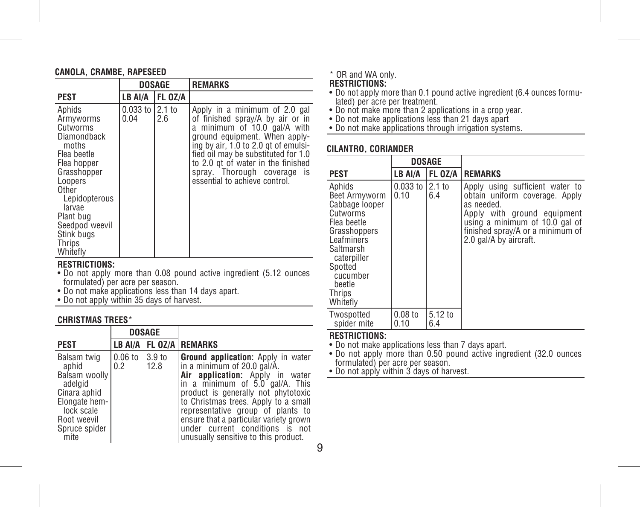#### **CANOLA, CRAMBE, RAPESEED**

|                                                                                                                                                                                                                        |                          | <b>DOSAGE</b>  | <b>REMARKS</b>                                                                                                                                                                                                                                                                                                          |  |  |  |
|------------------------------------------------------------------------------------------------------------------------------------------------------------------------------------------------------------------------|--------------------------|----------------|-------------------------------------------------------------------------------------------------------------------------------------------------------------------------------------------------------------------------------------------------------------------------------------------------------------------------|--|--|--|
| <b>PEST</b>                                                                                                                                                                                                            | LB AI/A                  | <b>FL OZ/A</b> |                                                                                                                                                                                                                                                                                                                         |  |  |  |
| Aphids<br>Armyworms<br>Cutworms<br>Diamondback<br>moths<br>Flea beetle<br>Flea hopper<br>Grasshopper<br>Loopers<br>Other<br>Lepidopterous<br>larvae<br>Plant bug<br>Seedpod weevil<br>Stink bugs<br>Thrips<br>Whitefly | 0.033 to 12.1 to<br>0.04 | 2.6            | Apply in a minimum of 2.0 gal<br>of finished spray/A by air or in<br>a minimum of 10.0 gal/A with<br>ground equipment. When apply-<br>ing by air, 1.0 to 2.0 gt of emulsi-<br>fied oil may be substituted for 1.0<br>to 2.0 gt of water in the finished<br>spray. Thorough coverage is<br>essential to achieve control. |  |  |  |

# **RESTRICTIONS:**

- Do not apply more than 0.08 pound active ingredient (5.12 ounces formulated) per acre per season.
- Do not make applications less than 14 days apart.
- Do not apply within 35 days of harvest.

#### **CHRISTMAS TREES**\*

|                                                                                                                                         | <b>DOSAGE</b>    |                |                                                                                                                                                                                                                                                                                                                                                                                     |
|-----------------------------------------------------------------------------------------------------------------------------------------|------------------|----------------|-------------------------------------------------------------------------------------------------------------------------------------------------------------------------------------------------------------------------------------------------------------------------------------------------------------------------------------------------------------------------------------|
| <b>PEST</b>                                                                                                                             |                  |                | LB AI/A   FL 0Z/A   REMARKS                                                                                                                                                                                                                                                                                                                                                         |
| Balsam twig<br>aphid<br>Balsam woolly<br>adelgid<br>Cinara aphid<br>Elongate hem-<br>lock scale<br>Root weevil<br>Spruce spider<br>mite | $0.06$ to<br>0.2 | 3.9 to<br>12.8 | Ground application: Apply in water<br>in a minimum of 20.0 gal/A.<br>Air application: Apply in<br>water<br>in a minimum of 5.0 gal/A. This<br>product is generally not phytotoxic<br>to Christmas trees. Apply to a small<br>representative group of plants to<br>ensure that a particular variety grown<br>under current conditions is not<br>unusually sensitive to this product. |

#### \* OR and WA only.

**RESTRICTIONS:**

- Do not apply more than 0.1 pound active ingredient (6.4 ounces formulated) per acre per treatment.
- 
- Do not make more than 2 applications in a crop year. Do not make applications less than 21 days apart
- Do not make applications through irrigation systems.

#### **CILANTRO, CORIANDER**

|                                                                                                                                                                                       | <b>DOSAGE</b>            |                |                                                                                                                                                                                                                |
|---------------------------------------------------------------------------------------------------------------------------------------------------------------------------------------|--------------------------|----------------|----------------------------------------------------------------------------------------------------------------------------------------------------------------------------------------------------------------|
| PEST                                                                                                                                                                                  | LB AI/A                  | <b>FL OZ/A</b> | <b>REMARKS</b>                                                                                                                                                                                                 |
| Aphids<br>Beet Armyworm<br>Cabbage looper<br>Cutworms<br>Flea beetle<br>Grasshoppers<br>Leafminers<br>Saltmarsh<br>caterpiller<br>Spotted<br>cucumber<br>beetle<br>Thrips<br>Whitefly | 0.033 to 12.1 to<br>0.10 | 6.4            | Apply using sufficient water to<br>obtain uniform coverage. Apply<br>as needed.<br>Apply with ground equipment<br>using a minimum of 10.0 gal of<br>finished spray/A or a minimum of<br>2.0 gal/A by aircraft. |
| Twospotted<br>spider mite                                                                                                                                                             | $0.08$ to<br>0.10        | 5.12 to<br>6.4 |                                                                                                                                                                                                                |

# **RESTRICTIONS:**

• Do not make applications less than 7 days apart.

• Do not apply more than 0.50 pound active ingredient (32.0 ounces formulated) per acre per season.

• Do not apply within 3 days of harvest.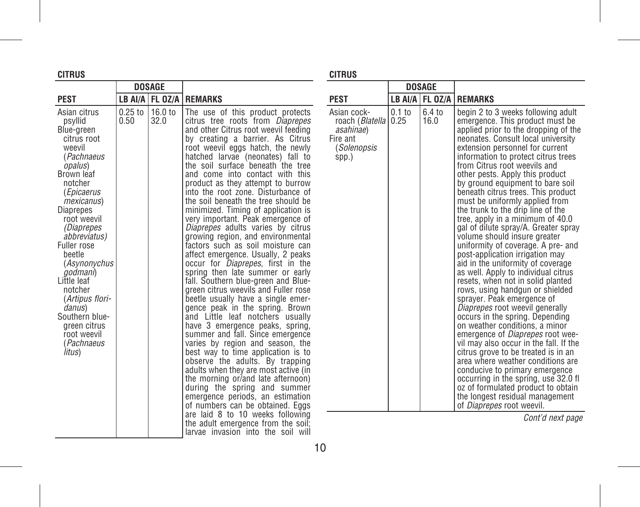| CITRUS                                                                                                                                                                                                                                                                                                                                                                                                                      |                   | CITRUS          |                                                                                                                                                                                                                                                                                                                                                                                                                                                                                                                                                                                                                                                                                                                                                                                                                                                                                                                                                                                                                                                                                                                                                                                                                                                                                                                                                                                                                                     |                                                                                               |          |                |                                                                                                                                                                                                                                                                                                                                                                                                                                                                                                                                                                                                                                                                                                                                                                                                                                                                                                                                                                                                                                                                                                                                                                                                                                                                                                                     |
|-----------------------------------------------------------------------------------------------------------------------------------------------------------------------------------------------------------------------------------------------------------------------------------------------------------------------------------------------------------------------------------------------------------------------------|-------------------|-----------------|-------------------------------------------------------------------------------------------------------------------------------------------------------------------------------------------------------------------------------------------------------------------------------------------------------------------------------------------------------------------------------------------------------------------------------------------------------------------------------------------------------------------------------------------------------------------------------------------------------------------------------------------------------------------------------------------------------------------------------------------------------------------------------------------------------------------------------------------------------------------------------------------------------------------------------------------------------------------------------------------------------------------------------------------------------------------------------------------------------------------------------------------------------------------------------------------------------------------------------------------------------------------------------------------------------------------------------------------------------------------------------------------------------------------------------------|-----------------------------------------------------------------------------------------------|----------|----------------|---------------------------------------------------------------------------------------------------------------------------------------------------------------------------------------------------------------------------------------------------------------------------------------------------------------------------------------------------------------------------------------------------------------------------------------------------------------------------------------------------------------------------------------------------------------------------------------------------------------------------------------------------------------------------------------------------------------------------------------------------------------------------------------------------------------------------------------------------------------------------------------------------------------------------------------------------------------------------------------------------------------------------------------------------------------------------------------------------------------------------------------------------------------------------------------------------------------------------------------------------------------------------------------------------------------------|
| <b>DOSAGE</b>                                                                                                                                                                                                                                                                                                                                                                                                               |                   |                 |                                                                                                                                                                                                                                                                                                                                                                                                                                                                                                                                                                                                                                                                                                                                                                                                                                                                                                                                                                                                                                                                                                                                                                                                                                                                                                                                                                                                                                     |                                                                                               |          | <b>DOSAGE</b>  |                                                                                                                                                                                                                                                                                                                                                                                                                                                                                                                                                                                                                                                                                                                                                                                                                                                                                                                                                                                                                                                                                                                                                                                                                                                                                                                     |
| <b>PEST</b>                                                                                                                                                                                                                                                                                                                                                                                                                 |                   |                 | LB AI/A   FL OZ/A   REMARKS                                                                                                                                                                                                                                                                                                                                                                                                                                                                                                                                                                                                                                                                                                                                                                                                                                                                                                                                                                                                                                                                                                                                                                                                                                                                                                                                                                                                         | <b>PEST</b>                                                                                   |          |                | LB AI/A   FL OZ/A   REMARKS                                                                                                                                                                                                                                                                                                                                                                                                                                                                                                                                                                                                                                                                                                                                                                                                                                                                                                                                                                                                                                                                                                                                                                                                                                                                                         |
| Asian citrus<br>psyllid<br>Blue-green<br>citrus root<br>weevil<br>(Pachnaeus<br><i>opalus</i> )<br>Brown leaf<br>notcher<br>(Epicaerus<br><i>mexicanus</i> )<br>Diaprepes<br>root weevil<br>(Diaprepes<br><i>abbreviatus</i> )<br>Fuller rose<br>beetle<br>(Asynonychus<br><i>godmani</i> )<br>Little leaf<br>notcher<br>(Artipus flori-<br>danus)<br>Southern blue-<br>green citrus<br>root weevil<br>(Pachnaeus<br>litus) | $0.25$ to<br>0.50 | 16.0 to<br>32.0 | The use of this product protects<br>citrus tree roots from <i>Diaprepes</i><br>and other Citrus root weevil feeding<br>by creating a barrier. As Citrus<br>root weevil eggs hatch, the newly<br>hatched larvae (neonates) fall to<br>the soil surface beneath the tree<br>and come into contact with this<br>product as they attempt to burrow<br>into the root zone. Disturbance of<br>the soil beneath the tree should be<br>minimized. Timing of application is<br>very important. Peak emergence of<br>Diaprepes adults varies by citrus<br>growing region, and environmental<br>factors such as soil moisture can<br>affect emergence. Usually, 2 peaks<br>occur for <i>Diaprepes</i> , first in the<br>spring then late summer or early<br>fall. Southern blue-green and Blue-<br>green citrus weevils and Fuller rose<br>beetle usually have a single emer-<br>gence peak in the spring. Brown<br>and Little leaf notchers usually<br>have 3 emergence peaks, spring,<br>summer and fall. Since emergence<br>varies by region and season, the<br>best way to time application is to<br>observe the adults. By trapping<br>adults when they are most active (in<br>the morning or/and late afternoon)<br>during the spring and summer<br>emergence periods, an estimation<br>of numbers can be obtained. Eggs<br>are laid 8 to 10 weeks following<br>the adult emergence from the soil;<br>larvae invasion into the soil will | Asian cock-<br>roach (Blatella   0.25<br>asahinae)<br>Fire ant<br><i>(Solenopsis</i><br>spp.) | $0.1$ to | 6.4 to<br>16.0 | begin 2 to 3 weeks following adult<br>emergence. This product must be<br>applied prior to the dropping of the<br>neonates. Consult local university<br>extension personnel for current<br>information to protect citrus trees<br>from Citrus root weevils and<br>other pests. Apply this product<br>by ground equipment to bare soil<br>beneath citrus trees. This product<br>must be uniformly applied from<br>the trunk to the drip line of the<br>tree, apply in a minimum of 40.0<br>gal of dilute spray/A. Greater spray<br>volume should insure greater<br>uniformity of coverage. A pre- and<br>post-application irrigation may<br>aid in the uniformity of coverage<br>as well. Apply to individual citrus<br>resets, when not in solid planted<br>rows, using handgun or shielded<br>sprayer. Peak emergence of<br><i>Diaprepes</i> root weevil generally<br>occurs in the spring. Depending<br>on weather conditions, a minor<br>emergence of <i>Diaprepes</i> root wee-<br>vil may also occur in the fall. If the<br>citrus grove to be treated is in an<br>area where weather conditions are<br>conducive to primary emergence<br>occurring in the spring, use 32.0 fl<br>oz of formulated product to obtain<br>the longest residual management<br>of <i>Diaprepes</i> root weevil.<br>Cont'd next page |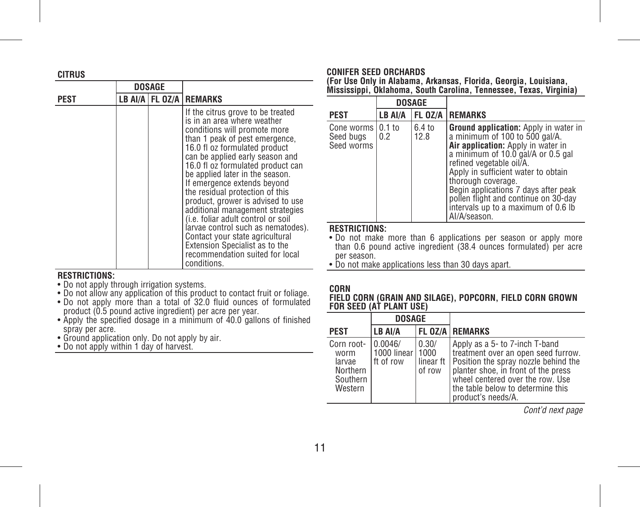| <b>CITRUS</b> |               |  |                                                                                                                                                                                                                                                                                                                                                                                                                                                                                                                                                                                                                              |  |  |
|---------------|---------------|--|------------------------------------------------------------------------------------------------------------------------------------------------------------------------------------------------------------------------------------------------------------------------------------------------------------------------------------------------------------------------------------------------------------------------------------------------------------------------------------------------------------------------------------------------------------------------------------------------------------------------------|--|--|
|               | <b>DOSAGE</b> |  |                                                                                                                                                                                                                                                                                                                                                                                                                                                                                                                                                                                                                              |  |  |
| <b>PEST</b>   |               |  | LB AI/A FL 0Z/A REMARKS                                                                                                                                                                                                                                                                                                                                                                                                                                                                                                                                                                                                      |  |  |
|               |               |  | If the citrus grove to be treated<br>is in an area where weather<br>conditions will promote more<br>than 1 peak of pest emergence,<br>16.0 fl oz formulated product<br>can be applied early season and<br>16.0 fl oz formulated product can<br>be applied later in the season.<br>If emergence extends beyond<br>the residual protection of this<br>product, grower is advised to use<br>additional management strategies<br>(i.e. foliar adult control or soil<br>larvae control such as nematodes).<br>Contact your state agricultural<br>Extension Specialist as to the<br>recommendation suited for local<br>conditions. |  |  |

#### **RESTRICTIONS:**

- Do not apply through irrigation systems.
- Do not allow any application of this product to contact fruit or foliage.
- Do not apply more than a total of 32.0 fluid ounces of formulated product (0.5 pound active ingredient) per acre per year.
- Apply the specified dosage in a minimum of 40.0 gallons of finished spray per acre.
- Ground application only. Do not apply by air.
- Do not apply within 1 day of harvest.

# **CONIFER SEED ORCHARDS**

**(For Use Only in Alabama, Arkansas, Florida, Georgia, Louisiana, Mississippi, Oklahoma, South Carolina, Tennessee, Texas, Virginia)**

|                                                | <b>DOSAGE</b> |                |                                                                                                                                                                                                                                                                                                                                                                                            |
|------------------------------------------------|---------------|----------------|--------------------------------------------------------------------------------------------------------------------------------------------------------------------------------------------------------------------------------------------------------------------------------------------------------------------------------------------------------------------------------------------|
| <b>PEST</b>                                    | LB AI/A       |                | FL 0Z/A   REMARKS                                                                                                                                                                                                                                                                                                                                                                          |
| Cone worms   0.1 to<br>Seed bugs<br>Seed worms | 0.2           | 6.4 to<br>12.8 | <b>Ground application:</b> Apply in water in<br>a minimum of 100 to 500 gal/A.<br>Air application: Apply in water in<br>a minimum of 10.0 gal/A or 0.5 gal<br>refined vegetable oil/A.<br>Apply in sufficient water to obtain<br>thorough coverage.<br>Begin applications 7 days after peak<br>pollen flight and continue on 30-day<br>intervals up to a maximum of 0.6 lb<br>Al/A/season. |

#### **RESTRICTIONS:**

• Do not make more than 6 applications per season or apply more than 0.6 pound active ingredient (38.4 ounces formulated) per acre per season.

• Do not make applications less than 30 days apart.

# **CORN**

**FIELD CORN (GRAIN AND SILAGE), POPCORN, FIELD CORN GROWN FOR SEED (AT PLANT USE)**

|                                                                 | <b>DOSAGE</b>                              |                 |                                                                                                                                                                                                                                                                 |
|-----------------------------------------------------------------|--------------------------------------------|-----------------|-----------------------------------------------------------------------------------------------------------------------------------------------------------------------------------------------------------------------------------------------------------------|
| <b>PEST</b>                                                     | LB AI/A                                    |                 | <b>FL OZ/A REMARKS</b>                                                                                                                                                                                                                                          |
| Corn root-<br>worm<br>larvae<br>Northern<br>Southern<br>Western | 0.0046/<br>1000 linear   1000<br>ft of row | 0.30/<br>of row | Apply as a 5- to 7-inch T-band<br>treatment over an open seed furrow.<br>linear ft Position the spray nozzle behind the<br>planter shoe, in front of the press<br>wheel centered over the row. Use<br>l the table below to determine this<br>product's needs/A. |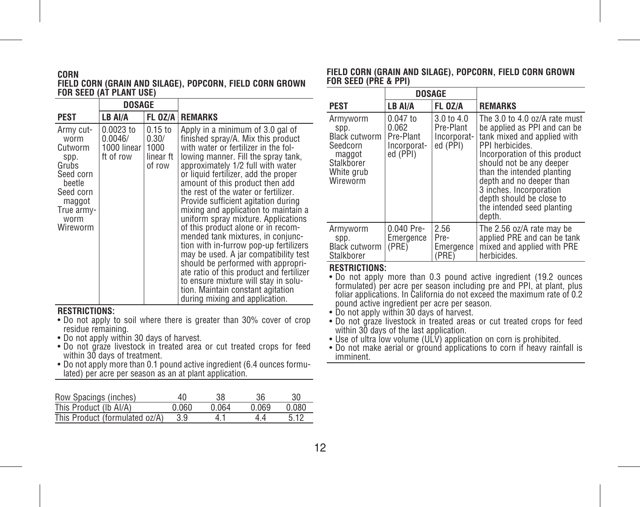#### **CORN FIELD CORN (GRAIN AND SILAGE), POPCORN, FIELD CORN GROWN FOR SEED (AT PLANT USE)**

|                                                                                                                               | <b>DOSAGE</b>                                           |                                           |                                                                                                                                                                                                                                                                                                                                                                                                                                                                                                                                                                                                                                                                                                                                                                                                    |
|-------------------------------------------------------------------------------------------------------------------------------|---------------------------------------------------------|-------------------------------------------|----------------------------------------------------------------------------------------------------------------------------------------------------------------------------------------------------------------------------------------------------------------------------------------------------------------------------------------------------------------------------------------------------------------------------------------------------------------------------------------------------------------------------------------------------------------------------------------------------------------------------------------------------------------------------------------------------------------------------------------------------------------------------------------------------|
| PEST                                                                                                                          | LB AI/A                                                 |                                           | <b>FL OZ/A   REMARKS</b>                                                                                                                                                                                                                                                                                                                                                                                                                                                                                                                                                                                                                                                                                                                                                                           |
| Army cut-<br>worm<br>Cutworm<br>spp.<br>Grubs<br>Seed corn<br>beetle<br>Seed corn<br>maggot<br>True armv-<br>worm<br>Wireworm | 0.0023 to<br>0.0046/<br>1000 linear   1000<br>ft of row | $0.15$ to<br>0.30/<br>linear ft<br>of row | Apply in a minimum of 3.0 gal of<br>finished spray/A. Mix this product<br>with water or fertilizer in the fol-<br>lowing manner. Fill the spray tank,<br>approximately 1/2 full with water<br>or liquid fertilizer, add the proper<br>amount of this product then add<br>the rest of the water or fertilizer.<br>Provide sufficient agitation during<br>mixing and application to maintain a<br>uniform spray mixture. Applications<br>of this product alone or in recom-<br>mended tank mixtures, in conjunc-<br>tion with in-furrow pop-up fertilizers<br>may be used. A jar compatibility test<br>should be performed with appropri-<br>ate ratio of this product and fertilizer<br>to ensure mixture will stay in solu-<br>tion. Maintain constant agitation<br>during mixing and application. |

# **RESTRICTIONS:**

- Do not apply to soil where there is greater than 30% cover of crop residue remaining.
- Do not apply within 30 days of harvest.
- Do not graze livestock in treated area or cut treated crops for feed within 30 days of treatment.
- Do not apply more than 0.1 pound active ingredient (6.4 ounces formulated) per acre per season as an at plant application.

| Row Spacings (inches)          | ΔN           | 38    | 36    | 30    |
|--------------------------------|--------------|-------|-------|-------|
| This Product (Ib AI/A)         | <u>በ በ6በ</u> | በ በ64 | 0 069 | 0.080 |
| This Product (formulated oz/A) |              | 4 1   | 44    | 512   |

#### **FIELD CORN (GRAIN AND SILAGE), POPCORN, FIELD CORN GROWN FOR SEED (PRE & PPI)**

|                                                                                                 | <b>DOSAGE</b>                                               |                                                    |                                                                                                                                                                                                                                                                                                                                       |
|-------------------------------------------------------------------------------------------------|-------------------------------------------------------------|----------------------------------------------------|---------------------------------------------------------------------------------------------------------------------------------------------------------------------------------------------------------------------------------------------------------------------------------------------------------------------------------------|
| PEST                                                                                            | LB AI/A                                                     | <b>FL 0Z/A</b>                                     | <b>REMARKS</b>                                                                                                                                                                                                                                                                                                                        |
| Armyworm<br>spp.<br>Black cutworm<br>Seedcorn<br>maggot<br>Stalkborer<br>White grub<br>Wireworm | $0.047$ to<br>0.062<br>Pre-Plant<br>Incorporat-<br>ed (PPI) | 3.0 to 4.0<br>Pre-Plant<br>Incorporat-<br>ed (PPI) | The 3.0 to 4.0 oz/A rate must<br>be applied as PPI and can be<br>tank mixed and applied with<br>PPI herbicides.<br>Incorporation of this product<br>should not be any deeper<br>than the intended planting<br>depth and no deeper than<br>3 inches. Incorporation<br>depth should be close to<br>the intended seed planting<br>depth. |
| Armyworm<br>spp.<br><b>Black cutworm</b><br>Stalkborer                                          | $0.040$ Pre-<br>Emergence<br>(PRE)                          | 2.56<br>Pre-<br>Emergence  <br>(PRE)               | The 2.56 oz/A rate may be<br>applied PRE and can be tank<br>mixed and applied with PRE<br>herbicides.                                                                                                                                                                                                                                 |

## **RESTRICTIONS:**

• Do not apply more than 0.3 pound active ingredient (19.2 ounces formulated) per acre per season including pre and PPI, at plant, plus foliar applications. In California do not exceed the maximum rate of 0.2 pound active ingredient per acre per season.

- Do not apply within 30 days of harvest.
- Do not graze livestock in treated areas or cut treated crops for feed within 30 days of the last application.
- 
- Use of ultra low volume (ULV) application on corn is prohibited. Do not make aerial or ground applications to corn if heavy rainfall is imminent.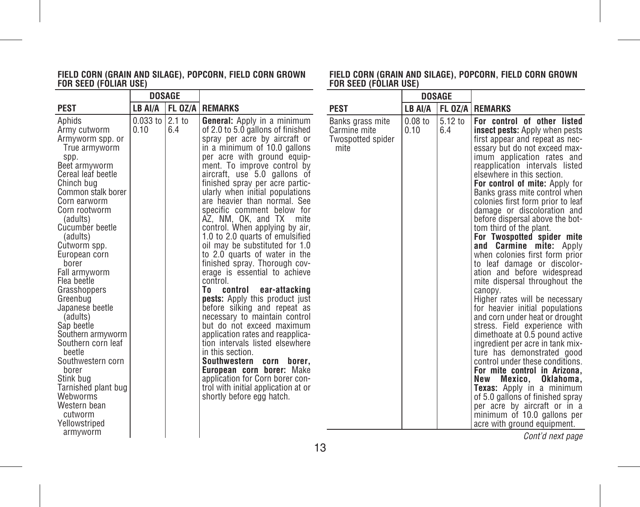#### **FIELD CORN (GRAIN AND SILAGE), POPCORN, FIELD CORN GROWN FOR SEED (FOLIAR USE)**

|                                                                                                                                                                                                                                                                                                                                                                                                                                                                                                                                                                          |                         | <b>DOSAGE</b> |                                                                                                                                                                                                                                                                                                                                                                                                                                                                                                                                                                                                                                                                                                                                                                                                                                                                                                                                                                                                                                                    |                                                               | <b>DOSAGE</b>     |                |                                                                                                                                                                                                                                                                                                                                                                                                                                                                                                                                                                                                                                                                                                                                                                                                                                                                                                                                                                                                                                                                                                                                                                                       |
|--------------------------------------------------------------------------------------------------------------------------------------------------------------------------------------------------------------------------------------------------------------------------------------------------------------------------------------------------------------------------------------------------------------------------------------------------------------------------------------------------------------------------------------------------------------------------|-------------------------|---------------|----------------------------------------------------------------------------------------------------------------------------------------------------------------------------------------------------------------------------------------------------------------------------------------------------------------------------------------------------------------------------------------------------------------------------------------------------------------------------------------------------------------------------------------------------------------------------------------------------------------------------------------------------------------------------------------------------------------------------------------------------------------------------------------------------------------------------------------------------------------------------------------------------------------------------------------------------------------------------------------------------------------------------------------------------|---------------------------------------------------------------|-------------------|----------------|---------------------------------------------------------------------------------------------------------------------------------------------------------------------------------------------------------------------------------------------------------------------------------------------------------------------------------------------------------------------------------------------------------------------------------------------------------------------------------------------------------------------------------------------------------------------------------------------------------------------------------------------------------------------------------------------------------------------------------------------------------------------------------------------------------------------------------------------------------------------------------------------------------------------------------------------------------------------------------------------------------------------------------------------------------------------------------------------------------------------------------------------------------------------------------------|
| <b>PEST</b>                                                                                                                                                                                                                                                                                                                                                                                                                                                                                                                                                              | LB AI/A                 |               | <b>FL OZ/A   REMARKS</b>                                                                                                                                                                                                                                                                                                                                                                                                                                                                                                                                                                                                                                                                                                                                                                                                                                                                                                                                                                                                                           | <b>PEST</b>                                                   | LB AI/A           |                | <b>FL OZ/A REMARKS</b>                                                                                                                                                                                                                                                                                                                                                                                                                                                                                                                                                                                                                                                                                                                                                                                                                                                                                                                                                                                                                                                                                                                                                                |
| Aphids<br>Army cutworm<br>Armyworm spp. or<br>True armyworm<br>spp.<br>Beet armyworm<br>Cereal leaf beetle<br>Chinch bug<br>Common stalk borer<br>Corn earworm<br>Corn rootworm<br>(adults)<br>Cucumber beetle<br>(adults)<br>Cutworm spp.<br>European corn<br>borer<br>Fall armvworm<br>Flea beetle<br>Grasshoppers<br>Greenbug<br>Japanese beetle<br>(adults)<br>Sap beetle<br>Southern armyworm<br>Southern corn leaf<br>beetle<br>Southwestern corn<br>borer<br>Stink bug<br>Tarnished plant bug<br>Webworms<br>Western bean<br>cutworm<br>Yellowstriped<br>armyworm | 0.033 to 2.1 to<br>0.10 | 6.4           | <b>General:</b> Apply in a minimum<br>of 2.0 to 5.0 gallons of finished<br>spray per acre by aircraft or<br>in a minimum of 10.0 gallons<br>per acre with ground equip-<br>ment. To improve control by<br>aircraft, use 5.0 gallons of<br>finished spray per acre partic-<br>ularly when initial populations<br>are heavier than normal. See<br>specific comment below for<br>AZ, NM, OK, and TX mite<br>control. When applying by air,<br>1.0 to 2.0 quarts of emulsified<br>oil may be substituted for 1.0<br>to 2.0 quarts of water in the<br>finished spray. Thorough cov-<br>erage is essential to achieve<br>control.<br>To control ear-attacking<br>pests: Apply this product just<br>before silking and repeat as<br>necessary to maintain control<br>but do not exceed maximum<br>application rates and reapplica-<br>tion intervals listed elsewhere<br>in this section.<br>Southwestern corn borer,<br>European corn borer: Make<br>application for Corn borer con-<br>trol with initial application at or<br>shortly before egg hatch. | Banks grass mite<br>Carmine mite<br>Twospotted spider<br>mite | $0.08$ to<br>0.10 | 5.12 to<br>6.4 | For control of other listed<br><b>insect pests:</b> Apply when pests<br>first appear and repeat as nec-<br>essary but do not exceed max-<br>imum application rates and<br>reapplication intervals listed<br>elsewhere in this section.<br>For control of mite: Apply for<br>Banks grass mite control when<br>colonies first form prior to leaf<br>damage or discoloration and<br>before dispersal above the bot-<br>tom third of the plant.<br>For Twospotted spider mite<br>and Carmine mite: Apply<br>when colonies first form prior<br>to leaf damage or discolor-<br>ation and before widespread<br>mite dispersal throughout the<br>canopy.<br>Higher rates will be necessary<br>for heavier initial populations<br>and corn under heat or drought<br>stress. Field experience with<br>dimethoate at 0.5 pound active<br>ingredient per acre in tank mix-<br>ture has demonstrated good<br>control under these conditions.<br>For mite control in Arizona.<br>New Mexico.<br>Oklahoma.<br><b>Texas:</b> Apply in a minimum<br>of 5.0 gallons of finished spray<br>per acre by aircraft or in a<br>minimum of 10.0 gallons per<br>acre with ground equipment.<br>Cont'd novt naga |

#### **FIELD CORN (GRAIN AND SILAGE), POPCORN, FIELD CORN GROWN FOR SEED (FOLIAR USE)**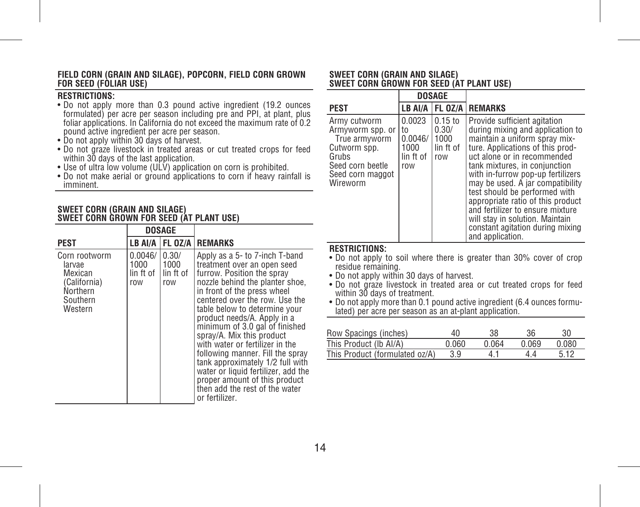#### **FIELD CORN (GRAIN AND SILAGE), POPCORN, FIELD CORN GROWN FOR SEED (FOLIAR USE)**

# **RESTRICTIONS:**

- Do not apply more than 0.3 pound active ingredient (19.2 ounces formulated) per acre per season including pre and PPI, at plant, plus foliar applications. In California do not exceed the maximum rate of 0.2 pound active ingredient per acre per season.
- Do not apply within 30 days of harvest.
- Do not graze livestock in treated areas or cut treated crops for feed within 30 days of the last application.
- Use of ultra low volume (ULV) application on corn is prohibited.
- Do not make aerial or ground applications to corn if heavy rainfall is imminent.

#### **SWEET CORN (GRAIN AND SILAGE) SWEET CORN GROWN FOR SEED (AT PLANT USE)**

|                                                                                       | DOSAGE                              |                                   |                                                                                                                                                                                                                                                                                                                                                                                                                                                                                                                                                                       |
|---------------------------------------------------------------------------------------|-------------------------------------|-----------------------------------|-----------------------------------------------------------------------------------------------------------------------------------------------------------------------------------------------------------------------------------------------------------------------------------------------------------------------------------------------------------------------------------------------------------------------------------------------------------------------------------------------------------------------------------------------------------------------|
| <b>PEST</b>                                                                           | LB AI/A                             | FL OZ/A                           | <b>REMARKS</b>                                                                                                                                                                                                                                                                                                                                                                                                                                                                                                                                                        |
| Corn rootworm<br>larvae<br>Mexican<br>(California)<br>Northern<br>Southern<br>Western | 0.0046/<br>1000<br>lin ft of<br>row | 0.30/<br>1000<br>lin ft of<br>row | Apply as a 5- to 7-inch T-band<br>treatment over an open seed<br>furrow. Position the spray<br>nozzle behind the planter shoe,<br>in front of the press wheel<br>centered over the row. Use the<br>table below to determine your<br>product needs/A. Apply in a<br>minimum of 3.0 gal of finished<br>sprav/A. Mix this product<br>with water or fertilizer in the<br>following manner. Fill the spray<br>tank approximately 1/2 full with<br>water or liquid fertilizer, add the<br>proper amount of this product<br>then add the rest of the water<br>or fertilizer. |

#### **SWEET CORN (GRAIN AND SILAGE) SWEET CORN GROWN FOR SEED (AT PLANT USE)**

|                                                                                                                                | <b>DOSAGE</b>                                       |                                                |                                                                                                                                                                                                                                                                                                                                                                                                                                                                                     |
|--------------------------------------------------------------------------------------------------------------------------------|-----------------------------------------------------|------------------------------------------------|-------------------------------------------------------------------------------------------------------------------------------------------------------------------------------------------------------------------------------------------------------------------------------------------------------------------------------------------------------------------------------------------------------------------------------------------------------------------------------------|
| <b>PEST</b>                                                                                                                    | LB AI/A                                             | FL 0Z/A                                        | <b>REMARKS</b>                                                                                                                                                                                                                                                                                                                                                                                                                                                                      |
| Army cutworm<br>Armyworm spp. or<br>True armvworm<br>Cutworm spp.<br>Grubs<br>Seed corn beetle<br>Seed corn maggot<br>Wireworm | 0.0023<br>to<br>0.0046/<br>1000<br>lin ft of<br>row | $0.15$ to<br>0.30/<br>1000<br>lin ft of<br>row | Provide sufficient agitation<br>during mixing and application to<br>maintain a uniform spray mix-<br>ture. Applications of this prod-<br>uct alone or in recommended<br>tank mixtures, in conjunction<br>with in-furrow pop-up fertilizers<br>may be used. A jar compatibility<br>test should be performed with<br>appropriate ratio of this product<br>and fertilizer to ensure mixture<br>will stay in solution. Maintain<br>constant agitation during mixing<br>and application. |

# **RESTRICTIONS:**

- Do not apply to soil where there is greater than 30% cover of crop residue remaining.
- Do not apply within 30 days of harvest.
- Do not graze livestock in treated area or cut treated crops for feed within 30 days of treatment.
- Do not apply more than 0.1 pound active ingredient (6.4 ounces formu- lated) per acre per season as an at-plant application.

| Row Spacings (inches)          | 40    | 38    | 36    | 30    |
|--------------------------------|-------|-------|-------|-------|
| This Product (Ib AI/A)         | 0.060 | በ በ64 | 0 069 | 0.080 |
| This Product (formulated oz/A) | 3.9   | 41    | 44    | 5.12  |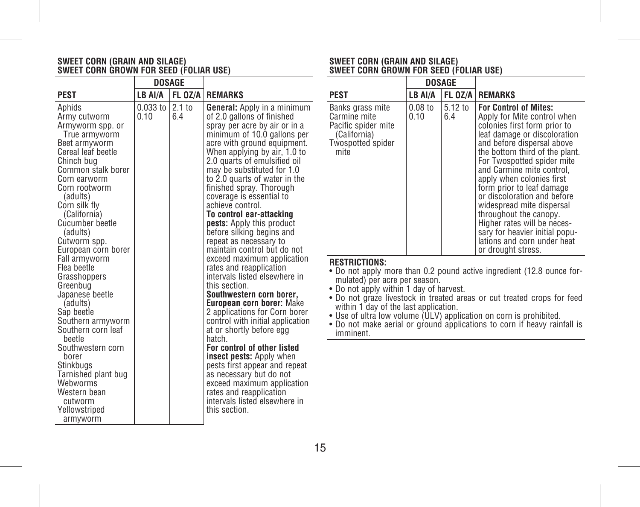# **SWEET CORN (GRAIN AND SILAGE) SWEET CORN GROWN FOR SEED (FOLIAR USE)**

|                                                                                                                                                                                                                                                                                                                                                                                                                                                                                                     | DOSAGE                 |                 |                                                                                                                                                                                                                                                                                                                                                                                                                                                                                                                                                                                                                                                                                                                                                                                                                                                                                                                    |                                                                                                                                          |
|-----------------------------------------------------------------------------------------------------------------------------------------------------------------------------------------------------------------------------------------------------------------------------------------------------------------------------------------------------------------------------------------------------------------------------------------------------------------------------------------------------|------------------------|-----------------|--------------------------------------------------------------------------------------------------------------------------------------------------------------------------------------------------------------------------------------------------------------------------------------------------------------------------------------------------------------------------------------------------------------------------------------------------------------------------------------------------------------------------------------------------------------------------------------------------------------------------------------------------------------------------------------------------------------------------------------------------------------------------------------------------------------------------------------------------------------------------------------------------------------------|------------------------------------------------------------------------------------------------------------------------------------------|
| PEST                                                                                                                                                                                                                                                                                                                                                                                                                                                                                                | LB AI/A                |                 | FL 0Z/A   REMARKS                                                                                                                                                                                                                                                                                                                                                                                                                                                                                                                                                                                                                                                                                                                                                                                                                                                                                                  | <b>PEST</b>                                                                                                                              |
| Aphids<br>Army cutworm<br>Armyworm spp. or<br>True armyworm<br>Beet armyworm<br>Cereal leaf beetle<br>Chinch bug<br>Common stalk borer<br>Corn earworm<br>Corn rootworm<br>(adults)<br>Corn silk fly<br>(California)<br>Cucumber beetle<br>(adults)<br>Cutworm spp.<br>European corn borer<br>Fall armyworm<br>Flea beetle<br>Grasshoppers<br>Greenbug<br>Japanese beetle<br>(adults)<br>Sap beetle<br>Southern armyworm<br>Southern corn leaf<br>beetle<br>Southwestern corn<br>borer<br>Stinkbugs | $0.033$ to $ $<br>0.10 | $2.1$ to<br>6.4 | <b>General:</b> Apply in a minimum<br>of 2.0 gallons of finished<br>spray per acre by air or in a<br>minimum of 10.0 gallons per<br>acre with ground equipment.<br>When applying by air, 1.0 to<br>2.0 quarts of emulsified oil<br>may be substituted for 1.0<br>to 2.0 quarts of water in the<br>finished spray. Thorough<br>coverage is essential to<br>achieve control.<br>To control ear-attacking<br><b>pests:</b> Apply this product<br>before silking begins and<br>repeat as necessary to<br>maintain control but do not<br>exceed maximum application<br>rates and reapplication<br>intervals listed elsewhere in<br>this section.<br>Southwestern corn borer,<br>European corn borer: Make<br>2 applications for Corn borer<br>control with initial application<br>at or shortly before egg<br>hatch.<br>For control of other listed<br><b>insect pests:</b> Apply when<br>pests first appear and repeat | Bank<br>Carm<br>Pacif<br>(Ca<br>Twos<br>mit<br><b>REST</b><br>• Do<br>mu<br>• Do<br>• Do<br>witl<br>$\bullet$ Use<br>$\bullet$ Do<br>imr |
| Tarnished plant bug<br>Webworms<br>Western bean<br>cutworm<br>Yellowstriped<br>armyworm                                                                                                                                                                                                                                                                                                                                                                                                             |                        |                 | as necessary but do not<br>exceed maximum application<br>rates and reapplication<br>intervals listed elsewhere in<br>this section.                                                                                                                                                                                                                                                                                                                                                                                                                                                                                                                                                                                                                                                                                                                                                                                 |                                                                                                                                          |

# **SWEET CORN (GRAIN AND SILAGE) SWEET CORN GROWN FOR SEED (FOLIAR USE)**

|                                                                                                             | DOSAGE            |                |                                                                                                                                                                                                                                                                                                                                                                                                                                                                                                                              |
|-------------------------------------------------------------------------------------------------------------|-------------------|----------------|------------------------------------------------------------------------------------------------------------------------------------------------------------------------------------------------------------------------------------------------------------------------------------------------------------------------------------------------------------------------------------------------------------------------------------------------------------------------------------------------------------------------------|
| PEST                                                                                                        | LB AI/A           |                | FL 0Z/A REMARKS                                                                                                                                                                                                                                                                                                                                                                                                                                                                                                              |
| Banks grass mite<br>Carmine mite<br>Pacific spider mite<br>(California)<br><b>Twospotted spider</b><br>mite | $0.08$ to<br>0.10 | 5.12 to<br>6.4 | <b>For Control of Mites:</b><br>Apply for Mite control when<br>colonies first form prior to<br>leaf damage or discoloration<br>and before dispersal above<br>the bottom third of the plant.<br>For Twospotted spider mite<br>and Carmine mite control.<br>apply when colonies first<br>form prior to leaf damage<br>or discoloration and before<br>widespread mite dispersal<br>throughout the canopy.<br>Higher rates will be neces-<br>sary for heavier initial popu-<br>lations and corn under heat<br>or drought stress. |

- **STRICTIONS:**<br>o not apply more than 0.2 pound active ingredient (12.8 ounce for-
- 
- Do not apply more than 0.2 pound active ingredient (12.8 ounce for-<br>mulated) per acre per season.<br>• Do not apply within 1 day of harvest.<br>• Do not graze livestock in treated areas or cut treated crops for feed<br>within 1 d
- 
- o not make aerial or ground applications to corn if heavy rainfall is imminent.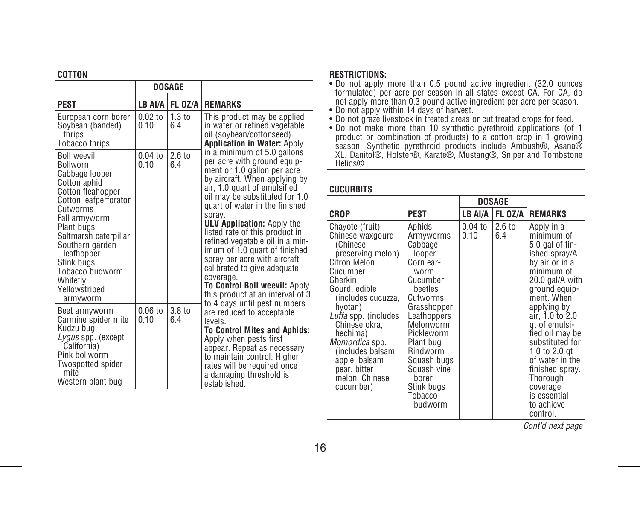# **COTTON**

|                                                                                                                                                                                                                                                                                                      |                   | <b>DOSAGE</b>            |                                                                                                                                                                                                                                                                                                                                                                                                                                                                                                                                      |
|------------------------------------------------------------------------------------------------------------------------------------------------------------------------------------------------------------------------------------------------------------------------------------------------------|-------------------|--------------------------|--------------------------------------------------------------------------------------------------------------------------------------------------------------------------------------------------------------------------------------------------------------------------------------------------------------------------------------------------------------------------------------------------------------------------------------------------------------------------------------------------------------------------------------|
| <b>PEST</b>                                                                                                                                                                                                                                                                                          |                   | LB AI/A FL 0Z/A          | <b>REMARKS</b>                                                                                                                                                                                                                                                                                                                                                                                                                                                                                                                       |
| European corn borer<br>Soybean (banded)<br>thrips<br>Tobacco thrips                                                                                                                                                                                                                                  | $0.02$ to<br>0.10 | 1.3 <sub>to</sub><br>6.4 | This product may be applied<br>in water or refined vegetable<br>oil (soybean/cottonseed).<br><b>Application in Water: Apply</b>                                                                                                                                                                                                                                                                                                                                                                                                      |
| <b>Boll weevil</b><br><b>Bollworm</b><br>Cabbage looper<br>Cotton aphid<br>Cotton fleahopper<br>Cotton leafperforator<br>Cutworms<br>Fall armyworm<br>Plant bugs<br>Saltmarsh caterpillar<br>Southern garden<br>leafhopper<br>Stink buas<br>Tobacco budworm<br>Whitefly<br>Yellowstriped<br>armyworm | $0.04$ to<br>0.10 | 2.6 <sub>to</sub><br>6.4 | in a minimum of 5.0 gallons<br>per acre with ground equip-<br>ment or 1.0 gallon per acre<br>by aircraft. When applying by<br>air, 1.0 quart of emulsified<br>oil may be substituted for 1.0<br>quart of water in the finished<br>spray.<br><b>ULV Application: Apply the</b><br>listed rate of this product in<br>refined vegetable oil in a min-<br>imum of 1.0 quart of finished<br>spray per acre with aircraft<br>calibrated to give adequate<br>coverage.<br>To Control Boll weevil: Apply<br>this product at an interval of 3 |
| Beet armyworm<br>Carmine spider mite<br>Kudzu bua<br>Lygus spp. (except<br>California)<br>Pink bollworm<br><b>Twospotted spider</b><br>mite<br>Western plant bug                                                                                                                                     | $0.06$ to<br>0.10 | 3.8 to<br>6.4            | to 4 days until pest numbers<br>are reduced to acceptable<br>levels<br><b>To Control Mites and Aphids:</b><br>Apply when pests first<br>appear. Repeat as necessary<br>to maintain control. Higher<br>rates will be required once<br>a damaging threshold is<br>established.                                                                                                                                                                                                                                                         |

#### **RESTRICTIONS:**

- Do not apply more than 0.5 pound active ingredient (32.0 ounces formulated) per acre per season in all states except CA. For CA, do not apply more than 0.3 pound active ingredient per acre per season.<br>• Do not apply more than 0.3 pound active ingredient per acre per season.
- 
- 
- Do not apply within 14 days of harvest.<br>• Do not graze livestock in freated areas or cut treated crops for feed.<br>• Do not make more than 10 synthetic pyrethroid applications (of 1<br>product or combination of products) to a Helins®

#### **CUCURBITS**

|                                                                                                                                                                                                                                                                                                                          |                                                                                                                                                                                                                                                               | DOSAGE            |                         |                                                                                                                                                                                                                                                                                                                                                                  |
|--------------------------------------------------------------------------------------------------------------------------------------------------------------------------------------------------------------------------------------------------------------------------------------------------------------------------|---------------------------------------------------------------------------------------------------------------------------------------------------------------------------------------------------------------------------------------------------------------|-------------------|-------------------------|------------------------------------------------------------------------------------------------------------------------------------------------------------------------------------------------------------------------------------------------------------------------------------------------------------------------------------------------------------------|
| <b>CROP</b>                                                                                                                                                                                                                                                                                                              | PEST                                                                                                                                                                                                                                                          | LB AI/A           | FL OZ/A I               | <b>REMARKS</b>                                                                                                                                                                                                                                                                                                                                                   |
| Chayote (fruit)<br>Chinese waxgourd<br>(Chinese<br>preserving melon)<br>Citron Melon<br>Cucumber<br>Gherkin<br>Gourd, edible<br>(includes cucuzza.<br>hyotan)<br>Luffa spp. (includes<br>Chinese okra.<br>hechima)<br>Momordica spp.<br>(includes balsam<br>apple, balsam<br>pear, bitter<br>melon. Chinese<br>cucumber) | Aphids<br>Armyworms<br>Cabbage<br>looper<br>Corn ear-<br>worm<br>Cucumber<br>beetles<br>Cutworms<br>Grasshopper<br>Leafhoppers<br>Melonworm<br>Pickleworm<br>Plant bug<br>Rindworm<br>Squash bugs<br>Squash vine<br>borer<br>Stink bugs<br>Tobacco<br>budworm | $0.04$ to<br>0.10 | $2.6 \text{ to}$<br>6.4 | Apply in a<br>minimum of<br>5.0 gal of fin-<br>ished spray/A<br>by air or in a<br>minimum of<br>20.0 gal/A with<br>ground equip-<br>ment. When<br>applying by<br>air, 1.0 to 2.0<br>at of emulsi-<br>fied oil may be<br>substituted for<br>1.0 to 2.0 at<br>of water in the<br>finished spray.<br>Thorough<br>coverage<br>is essential<br>to achieve<br>control. |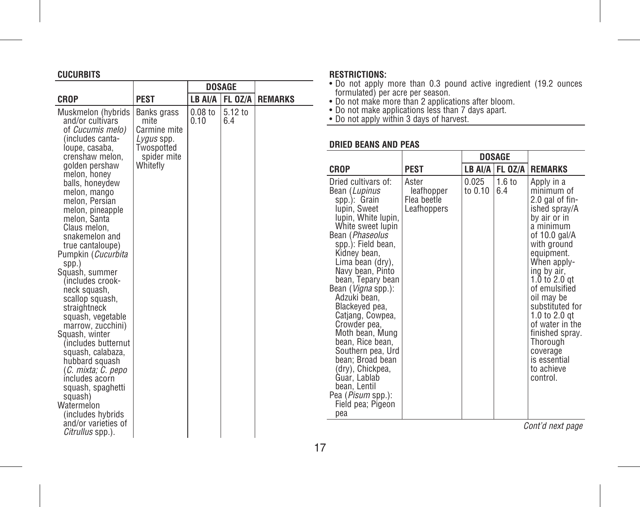# **CUCURBITS**

|                                                           |                                          |                   | <b>DOSAGE</b>  |                | • Do not apply i<br>formulated) per                  |
|-----------------------------------------------------------|------------------------------------------|-------------------|----------------|----------------|------------------------------------------------------|
| <b>CROP</b>                                               | <b>PEST</b>                              | LB AI/A           | <b>FL 0Z/A</b> | <b>REMARKS</b> | • Do not make m                                      |
| Muskmelon (hybrids<br>and/or cultivars                    | Banks grass<br>mite                      | $0.08$ to<br>0.10 | 5.12 to<br>6.4 |                | • Do not make ap<br>• Do not apply w                 |
| of Cucumis melo)<br>(includes canta-<br>loupe, casaba,    | Carmine mite<br>Lygus spp.<br>Twospotted |                   |                |                | <b>DRIED BEANS AI</b>                                |
| crenshaw melon.<br>golden pershaw<br>melon, honey         | spider mite<br>Whitefly                  |                   |                |                | <b>CROP</b>                                          |
| balls, honeydew<br>melon, mango<br>melon, Persian         |                                          |                   |                |                | Dried cultivars of<br>Bean (Lupinus<br>spp.): Grain  |
| melon, pineapple<br>melon, Santa<br>Claus melon.          |                                          |                   |                |                | lupin, Sweet<br>lupin, White lup<br>White sweet lup  |
| snakemelon and<br>true cantaloupe)<br>Pumpkin (Cucurbita  |                                          |                   |                |                | Bean (Phaseolus<br>spp.): Field bea<br>Kidney bean,  |
| SDD.<br>Squash, summer                                    |                                          |                   |                |                | Lima bean (dry<br>Navy bean, Pint                    |
| (includes crook-<br>neck squash,<br>scallop squash,       |                                          |                   |                |                | bean, Tepary be<br>Bean (Vigna spp.<br>Adzuki bean.  |
| straightneck<br>squash, vegetable<br>marrow, zucchini)    |                                          |                   |                |                | Blackeyed pea,<br>Catjang, Cowpe<br>Crowder pea,     |
| Squash, winter<br>(includes butternut)                    |                                          |                   |                |                | Moth bean, Mu<br>bean, Rice bear                     |
| squash, calabaza,<br>hubbard squash<br>(C. mixta; C. pepo |                                          |                   |                |                | Southern pea, l<br>bean: Broad be<br>(dry), Chickpea |
| includes acorn<br>squash, spaghetti<br>squash)            |                                          |                   |                |                | Guar, Lablab<br>bean, Lentil<br>Pea (Pisum spp.)     |
| Watermelon<br>(includes hybrids)                          |                                          |                   |                |                | Field pea; Piged<br>pea                              |
| and/or varieties of<br>Citrullus spp.).                   |                                          |                   |                |                |                                                      |

# **RESTRICTIONS:**

- 
- 
- 

# **ND PEAS**

|                                                                                                                                                                                                                                                                                                                                                                                                                                                                                                                                                 |                                                   | DOSAGE           |                          |                                                                                                                                                                                                                                                                                                                                                                         |
|-------------------------------------------------------------------------------------------------------------------------------------------------------------------------------------------------------------------------------------------------------------------------------------------------------------------------------------------------------------------------------------------------------------------------------------------------------------------------------------------------------------------------------------------------|---------------------------------------------------|------------------|--------------------------|-------------------------------------------------------------------------------------------------------------------------------------------------------------------------------------------------------------------------------------------------------------------------------------------------------------------------------------------------------------------------|
| CROP                                                                                                                                                                                                                                                                                                                                                                                                                                                                                                                                            | <b>PEST</b>                                       |                  | LB AI/A FL 0Z/A          | <b>REMARKS</b>                                                                                                                                                                                                                                                                                                                                                          |
| Dried cultivars of:<br>Bean (Lupinus<br>spp.): Grain<br>lupin. Sweet<br>lupin, White lupin,<br>White sweet lupin<br>Bean ( <i>Phaseolus</i><br>spp.): Field bean,<br>Kidney bean,<br>Lima bean (dry),<br>Navy bean, Pinto<br>bean, Tepary bean<br>Bean ( <i>Vigna</i> spp.):<br>Adzuki bean,<br>Blackeyed pea,<br>Catjang, Cowpea,<br>Crowder pea,<br>Moth bean, Mung<br>bean, Rice bean,<br>Southern pea, Urd<br>bean; Broad bean<br>(dry), Chickpea,<br>Guar, Lablab<br>bean, Lentil<br>Pea ( <i>Pisum</i> spp.):<br>Field pea; Pigeon<br>pea | Aster<br>leafhopper<br>Flea beetle<br>Leafhoppers | 0.025<br>to 0.10 | 1.6 <sub>to</sub><br>6.4 | Apply in a<br>minimum of<br>2.0 gal of fin-<br>ished spray/A<br>by air or in<br>a minimum<br>of 10.0 gal/A<br>with ground<br>equipment.<br>When apply-<br>ing by air,<br>1.0 to 2.0 $qt$<br>of emulsified<br>oil may be<br>substituted for<br>$1.0$ to $2.0$ at<br>of water in the<br>finished spray.<br>Thorough<br>coverage<br>is essential<br>to achieve<br>control. |

<sup>•</sup> Do not apply more than 0.3 pound active ingredient (19.2 ounces<br>• formulated) per acre per season.<br>• Do not make more than 2 applications after bloom.<br>• Do not make applications less than 7 days apart.<br>• Do not apply wit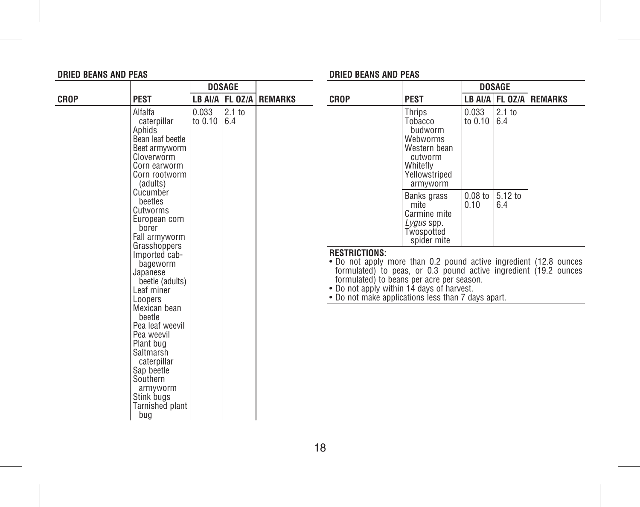### **DRIED BEANS AND PEAS**

# **DRIED BEANS AND PEAS**

|             |                                                                                                                                                                                |                        | <b>DOSAGE</b>     |                             |                                                                                                                                                                                                                                                                                                               |                                                                                                              |                        | <b>DOSAGE</b>  |                             |
|-------------|--------------------------------------------------------------------------------------------------------------------------------------------------------------------------------|------------------------|-------------------|-----------------------------|---------------------------------------------------------------------------------------------------------------------------------------------------------------------------------------------------------------------------------------------------------------------------------------------------------------|--------------------------------------------------------------------------------------------------------------|------------------------|----------------|-----------------------------|
| <b>CROP</b> | <b>PEST</b>                                                                                                                                                                    |                        |                   | LB AI/A   FL 0Z/A   REMARKS | <b>CROP</b>                                                                                                                                                                                                                                                                                                   | <b>PEST</b>                                                                                                  |                        |                | LB AI/A   FL 0Z/A   REMARKS |
|             | Alfalfa<br>caterpillar<br>Aphids<br>Bean leaf beetle<br>Beet armyworm<br>Cloverworm<br>Corn earworm<br>Corn rootworm<br>(adults)                                               | 0.033<br>to $0.10$ 6.4 | 2.1 <sub>to</sub> |                             |                                                                                                                                                                                                                                                                                                               | Thrips<br>Tobacco<br>budworm<br>Webworms<br>Western bean<br>cutworm<br>Whitefly<br>Yellowstriped<br>armyworm | 0.033<br>to $0.10$ 6.4 | 2.1 to         |                             |
|             | Cucumber<br>beetles<br>Cutworms<br>European corn<br>borer<br>Fall armyworm<br>Grasshoppers                                                                                     |                        |                   |                             |                                                                                                                                                                                                                                                                                                               | Banks grass<br>mite<br>Carmine mite<br>Lygus spp.<br>Twospotted<br>spider mite                               | $0.08$ to<br>0.10      | 5.12 to<br>6.4 |                             |
|             | Imported cab-<br>bageworm<br>Japanese<br>beetle (adults)<br>Leaf miner<br>Loopers                                                                                              |                        |                   |                             | <b>RESTRICTIONS:</b><br>. Do not apply more than 0.2 pound active ingredient (12.8 ounces<br>formulated) to peas, or 0.3 pound active ingredient (19.2 ounces<br>formulated) to beans per acre per season.<br>• Do not apply within 14 days of harvest.<br>• Do not make applications less than 7 days apart. |                                                                                                              |                        |                |                             |
|             | Mexican bean<br>beetle<br>Pea leaf weevil<br>Pea weevil<br>Plant bug<br>Saltmarsh<br>caterpillar<br>Sap beetle<br>Southern<br>armvworm<br>Stink bugs<br>Tarnished plant<br>bug |                        |                   |                             |                                                                                                                                                                                                                                                                                                               |                                                                                                              |                        |                |                             |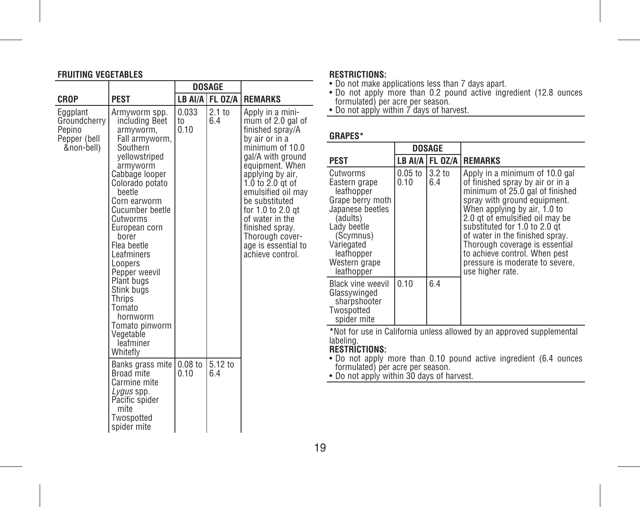# **FRUITING VEGETABLES**

|                                                                  |                                                                                                                                                                                                                                                                                                                                                                                                              | <b>DOSAGE</b>       |                          |                                                                                                                                                                                                                                                                                                                                                     |
|------------------------------------------------------------------|--------------------------------------------------------------------------------------------------------------------------------------------------------------------------------------------------------------------------------------------------------------------------------------------------------------------------------------------------------------------------------------------------------------|---------------------|--------------------------|-----------------------------------------------------------------------------------------------------------------------------------------------------------------------------------------------------------------------------------------------------------------------------------------------------------------------------------------------------|
| CROP                                                             | PEST                                                                                                                                                                                                                                                                                                                                                                                                         |                     | LB AI/A FL 0Z/A          | <b>REMARKS</b>                                                                                                                                                                                                                                                                                                                                      |
| Eggplant<br>Groundcherry<br>Pepino<br>Pepper (bell<br>&non-bell) | Armyworm spp.<br>including Beet<br>armyworm,<br>Fall armyworm,<br>Southern<br>yellowstriped<br>armyworm<br>Cabbage looper<br>Colorado potato<br>beetle<br>Corn earworm<br>Cucumber beetle<br>Cutworms<br>European corn<br>borer<br>Flea beetle<br>Leafminers<br>Loopers<br>Pepper weevil<br>Plant bugs<br>Stink bugs<br>Thrips<br>Tomato<br>hornworm<br>Tomato pinworm<br>Vegetable<br>leafminer<br>Whitefly | 0.033<br>to<br>0.10 | 2.1 <sub>to</sub><br>6.4 | Apply in a mini-<br>mum of 2.0 gal of<br>finished spray/A<br>by air or in a<br>minimum of 10.0<br>gal/A with ground<br>equipment. When<br>applying by air,<br>$1.0$ to $2.0$ at of<br>emulsified oil may<br>be substituted<br>for 1.0 to 2.0 gt<br>of water in the<br>finished sprav.<br>Thorough cover-<br>age is essential to<br>achieve control. |
|                                                                  | Banks grass mite<br>Broad mite<br>Carmine mite<br>Lygus spp.<br>Pacific spider<br>mite<br>Twospotted<br>spider mite                                                                                                                                                                                                                                                                                          | $0.08$ to<br>0 1 0  | 5.12 to<br>64            |                                                                                                                                                                                                                                                                                                                                                     |

### **RESTRICTIONS:**

• Do not make applications less than 7 days apart. • Do not apply more than 0.2 pound active ingredient (12.8 ounces formulated) per acre per season. • Do not apply within 7 days of harvest.

# **GRAPES\***

|                                                                                                                                                                                    | <b>DOSAGE</b>                              |                          |                                                                                                                                                                                                                                                                                                                                                                                                        |
|------------------------------------------------------------------------------------------------------------------------------------------------------------------------------------|--------------------------------------------|--------------------------|--------------------------------------------------------------------------------------------------------------------------------------------------------------------------------------------------------------------------------------------------------------------------------------------------------------------------------------------------------------------------------------------------------|
| PEST                                                                                                                                                                               |                                            |                          | LB AI/A   FL OZ/A   REMARKS                                                                                                                                                                                                                                                                                                                                                                            |
| Cutworms<br>Eastern grape<br>leafhopper<br>Grape berry moth<br>Japanese beetles<br>(adults)<br>Lady beetle<br>(Scymnus)<br>Variegated<br>leafhopper<br>Western grape<br>leafhopper | $0.05$ to $\overline{\phantom{a}}$<br>0.10 | 3.2 <sub>to</sub><br>6.4 | Apply in a minimum of 10.0 gal<br>of finished spray by air or in a<br>minimum of 25.0 gal of finished<br>spray with ground equipment.<br>When applying by air, 1.0 to<br>2.0 gt of emulsified oil may be<br>substituted for 1.0 to 2.0 at<br>of water in the finished spray.<br>Thorough coverage is essential<br>to achieve control. When pest<br>pressure is moderate to severe,<br>use higher rate. |
| <b>Black vine weevil</b><br>Glassywinged<br>sharpshooter<br>Twospotted<br>spider mite                                                                                              | 0.10                                       | 6.4                      |                                                                                                                                                                                                                                                                                                                                                                                                        |

**\***Not for use in California unless allowed by an approved supplemental labeling. **RESTRICTIONS:** 

• Do not apply more than 0.10 pound active ingredient (6.4 ounces formulated) per acre per season. • Do not apply within 30 days of harvest.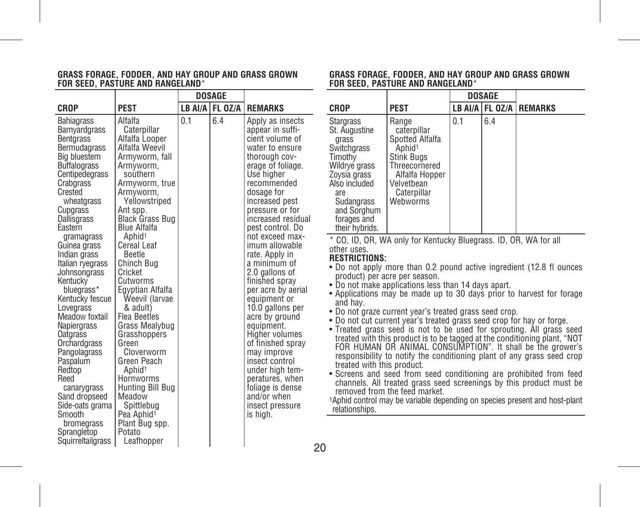#### **GRASS FORAGE, FODDER, AND HAY GROUP AND GRASS GROWN FOR SEED, PASTURE AND RANGELAND**\*

|                                                                                                                                                                                                                                                                                                                                                                                                                                                                                                                                                                            |                                                                                                                                                                                                                                                                                                                                                                                                                                                                                                                                                                                                                          |     | DOSAGE              |                                                                                                                                                                                                                                                                                                                                                                                                                                                                                                                                                                                                                                        |
|----------------------------------------------------------------------------------------------------------------------------------------------------------------------------------------------------------------------------------------------------------------------------------------------------------------------------------------------------------------------------------------------------------------------------------------------------------------------------------------------------------------------------------------------------------------------------|--------------------------------------------------------------------------------------------------------------------------------------------------------------------------------------------------------------------------------------------------------------------------------------------------------------------------------------------------------------------------------------------------------------------------------------------------------------------------------------------------------------------------------------------------------------------------------------------------------------------------|-----|---------------------|----------------------------------------------------------------------------------------------------------------------------------------------------------------------------------------------------------------------------------------------------------------------------------------------------------------------------------------------------------------------------------------------------------------------------------------------------------------------------------------------------------------------------------------------------------------------------------------------------------------------------------------|
| CROP                                                                                                                                                                                                                                                                                                                                                                                                                                                                                                                                                                       | <b>PEST</b>                                                                                                                                                                                                                                                                                                                                                                                                                                                                                                                                                                                                              |     | LB AI/A   FL $0Z/A$ | <b>REMARKS</b>                                                                                                                                                                                                                                                                                                                                                                                                                                                                                                                                                                                                                         |
| Bahiagrass<br>Barnyardgrass<br><b>Bentgrass</b><br>Bermudagrass<br>Big bluestem<br><b>Buffalograss</b><br>Centipedegrass<br>Crabgrass<br>Crested<br>wheatgrass<br>Cupgrass<br>Dallisgrass<br>Eastern<br>gramagrass<br>Guinea grass<br>Indian grass<br>Italian ryegrass<br>Johnsongrass<br>Kentucky<br>bluegrass*<br>Kentucky fescue<br>Lovegrass<br>Meadow foxtail<br>Napiergrass<br>Oatgrass<br>Orchardgrass<br>Pangolagrass<br>Paspalum<br>Redtop<br>Reed<br>canarygrass<br>Sand dropseed<br>Side-oats grama<br>Smooth<br>bromegrass<br>Sprangletop<br>Squirreltailgrass | Alfalfa<br>Caterpillar<br>Alfalfa Looper<br>Alfalfa Weevil<br>Armyworm, fall<br>Armyworm,<br>southern<br>Armyworm, true<br>Armyworm,<br>Yellowstriped<br>Ant spp.<br><b>Black Grass Bug</b><br><b>Blue Alfalfa</b><br>Aphid <sup>1</sup><br><b>Cereal Leaf</b><br>Beetle<br>Chinch Bug<br>Cricket<br>Cutworms<br>Egyptian Alfalfa<br>Weevil (larvae<br>& adult)<br><b>Flea Beetles</b><br><b>Grass Mealybug</b><br>Grasshoppers<br>Green<br>Cloverworm<br>Green Peach<br>Aphid <sup>1</sup><br>Hornworms<br>Hunting Bill Bug<br>Meadow<br>Spittlebug<br>Pea Aphid <sup>1</sup><br>Plant Bug spp.<br>Potato<br>Leafhopper | 0.1 | 6.4                 | Apply as insects<br>appear in suffi-<br>cient volume of<br>water to ensure<br>thorough cov-<br>erage of foliage.<br>Use higher<br>recommended<br>dosage for<br>increased pest<br>pressure or for<br>increased residual<br>pest control. Do<br>not exceed max-<br>imum allowable<br>rate. Apply in<br>a minimum of<br>2.0 gallons of<br>finished spray<br>per acre by aerial<br>equipment or<br>10.0 gallons per<br>acre by ground<br>equipment.<br><b>Higher volumes</b><br>of finished spray<br>may improve<br>insect control<br>under high tem-<br>peratures, when<br>foliage is dense<br>and/or when<br>insect pressure<br>is high. |

#### **GRASS FORAGE, FODDER, AND HAY GROUP AND GRASS GROWN FOR SEED, PASTURE AND RANGELAND**\*

|                                                                                                                                                                                              |                                                                                                                                                                |     | DOSAGE |                             |
|----------------------------------------------------------------------------------------------------------------------------------------------------------------------------------------------|----------------------------------------------------------------------------------------------------------------------------------------------------------------|-----|--------|-----------------------------|
| CROP                                                                                                                                                                                         | PEST                                                                                                                                                           |     |        | LB AI/A   FL OZ/A   REMARKS |
| <b>Stargrass</b><br>St. Augustine<br>grass<br>Switchgrass<br>Timothy<br>Wildrye grass<br>Zoysia grass<br>Also included<br>are.<br>Sudangrass<br>and Sorghum<br>forages and<br>their hybrids. | Range<br>caterpillar<br>Spotted Alfalfa<br>Aphid <sup>1</sup><br><b>Stink Bugs</b><br>Threecornered<br>Alfalfa Hopper<br>Velvetbean<br>Caterpillar<br>Webworms | 0.1 | 6.4    |                             |

\* CO, ID, OR, WA only for Kentucky Bluegrass. ID, OR, WA for all other uses.

#### **RESTRICTIONS:**

- Do not apply more than 0.2 pound active ingredient (12.8 fl ounces product) per acre per season.
- Do not make applications less than 14 days apart.
- Applications may be made up to 30 days prior to harvest for forage and hay.
- Do not graze current year's treated grass seed crop.
- Do not cut current year's treated grass seed crop for hay or forge.
- Treated grass seed is not to be used for sprouting. All grass seed treated with this product is to be tagged at the conditioning plant, "NOT FOR HUMAN OR ANIMAL CONSUMPTION". It shall be the grower's responsibility to notify the conditioning plant of any grass seed crop treated with this product.
- Screens and seed from seed conditioning are prohibited from feed channels. All treated grass seed screenings by this product must be removed from the feed market.

1Aphid control may be variable depending on species present and host-plant relationships.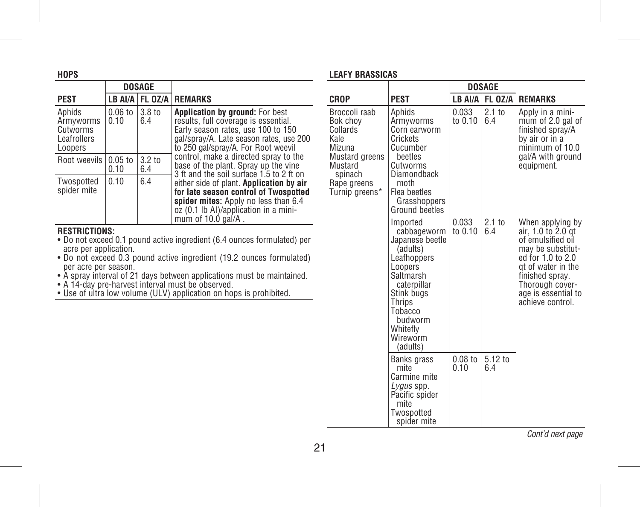| HOPS                                                      |                   |                          |                                                                                                                                                                                                        |
|-----------------------------------------------------------|-------------------|--------------------------|--------------------------------------------------------------------------------------------------------------------------------------------------------------------------------------------------------|
|                                                           | <b>DOSAGE</b>     |                          |                                                                                                                                                                                                        |
| PEST                                                      | LB AI/A           | FL OZ/A                  | <b>REMARKS</b>                                                                                                                                                                                         |
| Aphids<br>Armvworms<br>Cutworms<br>Leafrollers<br>Loopers | $0.06$ to<br>0.10 | 3.8 to<br>6.4            | <b>Application by ground: For best</b><br>results, full coverage is essential.<br>Early season rates, use 100 to 150<br>gal/spray/A. Late season rates, use 200<br>to 250 gal/spray/A. For Root weevil |
| Root weevils                                              | $0.05$ to<br>0.10 | 3.2 <sub>to</sub><br>6.4 | control, make a directed spray to the<br>base of the plant. Spray up the vine<br>3 ft and the soil surface 1.5 to 2 ft on                                                                              |
| Twospotted<br>spider mite                                 | 0.10              | 6.4                      | either side of plant. Application by air<br>for late season control of Twospotted<br>spider mites: Apply no less than 6.4<br>oz (0.1 lb Al)/application in a mini-<br>mum of 10.0 gal/A.               |

#### **RESTRICTIONS:**

- Do not exceed 0.1 pound active ingredient (6.4 ounces formulated) per
- acre per application. Do not exceed 0.3 pound active ingredient (19.2 ounces formulated)
- per acre per season. A spray interval of 21 days between applications must be maintained. A 14-day pre-harvest interval must be observed. Use of ultra low volume (ULV) application on hops is prohibited.
- 
- 

# **LEAFY BRASSICAS**

|                                                                                                                                  |                                                                                                                                                                                                       |                    | <b>DOSAGE</b>            |                                                                                                                                                                                                              |
|----------------------------------------------------------------------------------------------------------------------------------|-------------------------------------------------------------------------------------------------------------------------------------------------------------------------------------------------------|--------------------|--------------------------|--------------------------------------------------------------------------------------------------------------------------------------------------------------------------------------------------------------|
| CROP                                                                                                                             | <b>PEST</b>                                                                                                                                                                                           |                    | LB AI/A FL OZ/A          | <b>REMARKS</b>                                                                                                                                                                                               |
| Broccoli raab<br>Bok chov<br>Collards<br>Kale<br>Mizuna<br>Mustard greens<br>Mustard<br>spinach<br>Rape greens<br>Turnip greens* | Aphids<br>Armyworms<br>Corn earworm<br>Crickets<br>Cucumber<br>beetles<br>Cutworms<br>Diamondback<br>moth<br>Flea beetles<br>Grasshoppers<br>Ground beetles                                           | 0.033<br>to $0.10$ | 2.1 <sub>to</sub><br>6.4 | Apply in a mini-<br>mum of 2.0 gal of<br>finished spray/A<br>by air or in a<br>minimum of 10.0<br>gal/A with ground<br>equipment.                                                                            |
|                                                                                                                                  | Imported<br>cabbageworm<br>Japanese beetle<br>(adults)<br>Leafhoppers<br>Loopers<br>Saltmarsh<br>caterpillar<br>Stink bugs<br><b>Thrips</b><br>Tobacco<br>budworm<br>Whitefly<br>Wireworm<br>(adults) | 0.033<br>to $0.10$ | 2.1 <sub>to</sub><br>6.4 | When applying by<br>air, 1.0 to 2.0 gt<br>of emulsified oil<br>may be substitut-<br>ed for 1.0 to 2.0<br>at of water in the<br>finished spray.<br>Thorough cover-<br>age is essential to<br>achieve control. |
|                                                                                                                                  | Banks grass<br>mite<br>Carmine mite<br>Lygus spp.<br>Pacific spider<br>mite<br>Twospotted<br>spider mite                                                                                              | $0.08$ to<br>0.10  | 5.12 to<br>6.4           |                                                                                                                                                                                                              |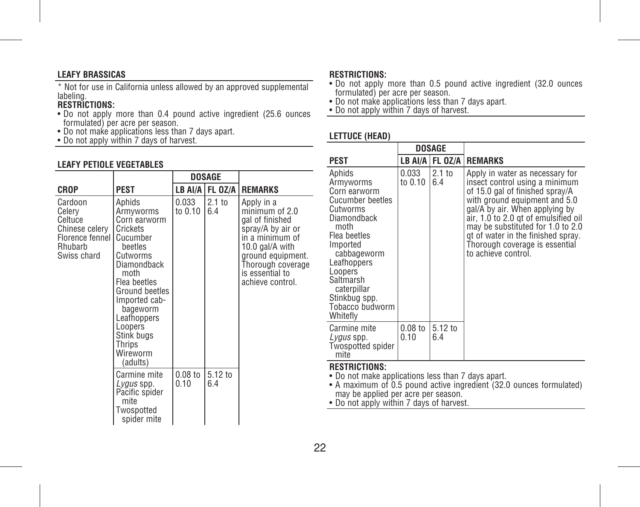### **LEAFY BRASSICAS**

\* Not for use in California unless allowed by an approved supplemental labeling.

# **RESTRICTIONS:**

- Do not apply more than 0.4 pound active ingredient (25.6 ounces formulated) per acre per season.
- Do not make applications less than 7 days apart. Do not apply within 7 days of harvest.
- 

## **LEAFY PETIOLE VEGETABLES**

|                                                                                             |                                                                                                                                                                                                                                                           |                    | <b>DOSAGE</b>            |                                                                                                                                                                                             |
|---------------------------------------------------------------------------------------------|-----------------------------------------------------------------------------------------------------------------------------------------------------------------------------------------------------------------------------------------------------------|--------------------|--------------------------|---------------------------------------------------------------------------------------------------------------------------------------------------------------------------------------------|
| CROP                                                                                        | <b>PEST</b>                                                                                                                                                                                                                                               |                    | LB AI/A FL OZ/A          | <b>REMARKS</b>                                                                                                                                                                              |
| Cardoon<br>Celerv<br>Celtuce<br>Chinese celery<br>Florence fennel<br>Rhubarb<br>Swiss chard | Aphids<br>Armyworms<br>Corn earworm<br>Crickets<br>Cucumber<br>beetles<br>Cutworms<br>Diamondback<br>moth<br>Flea beetles<br>Ground beetles<br>Imported cab-<br>bageworm<br>Leafhoppers<br>Loopers<br>Stink bugs<br><b>Thrips</b><br>Wireworm<br>(adults) | 0.033<br>to $0.10$ | 2.1 <sub>to</sub><br>6.4 | Apply in a<br>minimum of 2.0<br>gal of finished<br>spray/A by air or<br>in a minimum of<br>10.0 gal/A with<br>ground equipment.<br>Thorough coverage<br>is essential to<br>achieve control. |
|                                                                                             | Carmine mite<br>Lygus spp.<br>Pacific spider<br>mite<br>Twospotted<br>spider mite                                                                                                                                                                         | $0.08$ to<br>0.10  | 5.12 to<br>6.4           |                                                                                                                                                                                             |

# **RESTRICTIONS:**

- Do not apply more than 0.5 pound active ingredient (32.0 ounces formulated) per acre per season.
- Do not make applications less than 7 days apart. Do not apply within 7 days of harvest.
- 

# **LETTUCE (HEAD)**

|                                                                                                                                                                                                                                             | DOSAGE            |                 |                                                                                                                                                                                                                                                                                                                                                     |
|---------------------------------------------------------------------------------------------------------------------------------------------------------------------------------------------------------------------------------------------|-------------------|-----------------|-----------------------------------------------------------------------------------------------------------------------------------------------------------------------------------------------------------------------------------------------------------------------------------------------------------------------------------------------------|
| PEST                                                                                                                                                                                                                                        |                   |                 | LB AI/A   FL OZ/A   REMARKS                                                                                                                                                                                                                                                                                                                         |
| Aphids<br>Armyworms<br>Corn earworm<br>Cucumber beetles<br>Cutworms<br>Diamondback<br>moth<br>Flea beetles<br>Imported<br>cabbageworm<br>Leafhoppers<br>Loopers<br>Saltmarsh<br>caterpillar<br>Stinkbug spp.<br>Tobacco budworm<br>Whitefly | 0.033<br>to 0.10  | $2.1$ to<br>6.4 | Apply in water as necessary for<br>insect control using a minimum<br>of 15.0 gal of finished spray/A<br>with ground equipment and 5.0<br>gal/A by air. When applying by<br>air, 1.0 to 2.0 gt of emulsified oil<br>may be substituted for 1.0 to 2.0<br>gt of water in the finished spray.<br>Thorough coverage is essential<br>to achieve control. |
| Carmine mite<br><i>Lygus</i> spp.<br><b>Twospotted spider</b><br>mite                                                                                                                                                                       | $0.08$ to<br>0.10 | 5.12 to<br>6.4  |                                                                                                                                                                                                                                                                                                                                                     |

#### **RESTRICTIONS:**

• Do not make applications less than 7 days apart.

• A maximum of 0.5 pound active ingredient (32.0 ounces formulated)

may be applied per acre per season. • Do not apply within 7 days of harvest.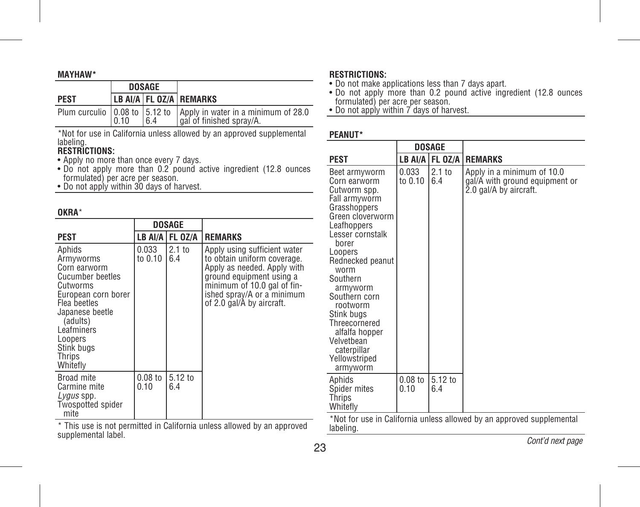#### **MAYHAW\***

|             | <b>DOSAGE</b> |     |                                                                                                       |
|-------------|---------------|-----|-------------------------------------------------------------------------------------------------------|
| <b>PEST</b> |               |     | LB AI/A FL 0Z/A REMARKS                                                                               |
|             | 0.10          | 6.4 | Plum curculio   0.08 to   5.12 to   Apply in water in a minimum of 28.0<br>  gal of finished spray/A. |

\*Not for use in California unless allowed by an approved supplemental labeling.

# **RESTRICTIONS:**

- 
- Apply no more than once every 7 days. Do not apply more than 0.2 pound active ingredient (12.8 ounces formulated) per acre per season. Do not apply within 30 days of harvest.
- 

# **OKRA**\*

|                                                                                                                                                                                                        |                   | DOSAGE                   |                                                                                                                                                                                                                  |
|--------------------------------------------------------------------------------------------------------------------------------------------------------------------------------------------------------|-------------------|--------------------------|------------------------------------------------------------------------------------------------------------------------------------------------------------------------------------------------------------------|
| <b>PEST</b>                                                                                                                                                                                            |                   | LB AI/A   FL OZ/A        | <b>REMARKS</b>                                                                                                                                                                                                   |
| Aphids<br>Armyworms<br>Corn earworm<br>Cucumber beetles<br>Cutworms<br>European corn borer<br>Flea beetles<br>Japanese beetle<br>(adults)<br>Leafminers<br>Loopers<br>Stink bugs<br>Thrips<br>Whitefly | 0.033<br>to 0.10  | 2.1 <sub>to</sub><br>6.4 | Apply using sufficient water<br>to obtain uniform coverage.<br>Apply as needed. Apply with<br>ground equipment using a<br>minimum of 10.0 gal of fin-<br>ished spray/A or a minimum<br>of 2.0 gal/A by aircraft. |
| Broad mite<br>Carmine mite<br>Lygus spp.<br><b>Twospotted spider</b><br>mite                                                                                                                           | $0.08$ to<br>0.10 | 5.12 to<br>6.4           |                                                                                                                                                                                                                  |

#### \* This use is not permitted in California unless allowed by an approved supplemental label.

# **RESTRICTIONS:**

- 
- Do not make applications less than 7 days apart. Do not apply more than 0.2 pound active ingredient (12.8 ounces
- formulated) per acre per season. Do not apply within 7 days of harvest.

# **PEANUT\***

|                                                                                                                                                                                                                                                                                                                                                       | DOSAGE            |                            |                                                                                        |
|-------------------------------------------------------------------------------------------------------------------------------------------------------------------------------------------------------------------------------------------------------------------------------------------------------------------------------------------------------|-------------------|----------------------------|----------------------------------------------------------------------------------------|
| <b>PEST</b>                                                                                                                                                                                                                                                                                                                                           |                   | <b>LB AI/A   FL 0Z/A  </b> | <b>REMARKS</b>                                                                         |
| Beet armvworm<br>Corn earworm<br>Cutworm spp.<br>Fall armyworm<br>Grasshoppers<br>Green cloverworm<br>Leafhoppers<br>Lesser cornstalk<br>borer<br>Loopers<br>Rednecked peanut<br>worm<br>Southern<br>armyworm<br>Southern corn<br>rootworm<br>Stink bugs<br>Threecornered<br>alfalfa hopper<br>Velvetbean<br>caterpillar<br>Yellowstriped<br>armyworm | 0.033<br>to 0.10  | 2.1 <sub>to</sub><br>6.4   | Apply in a minimum of 10.0<br>gal/A with ground equipment or<br>2.0 gal/A by aircraft. |
| Aphids<br>Spider mites<br>Thrips<br>Whitefly                                                                                                                                                                                                                                                                                                          | $0.08$ to<br>0.10 | 5.12 to<br>6.4             |                                                                                        |

\*Not for use in California unless allowed by an approved supplemental labeling.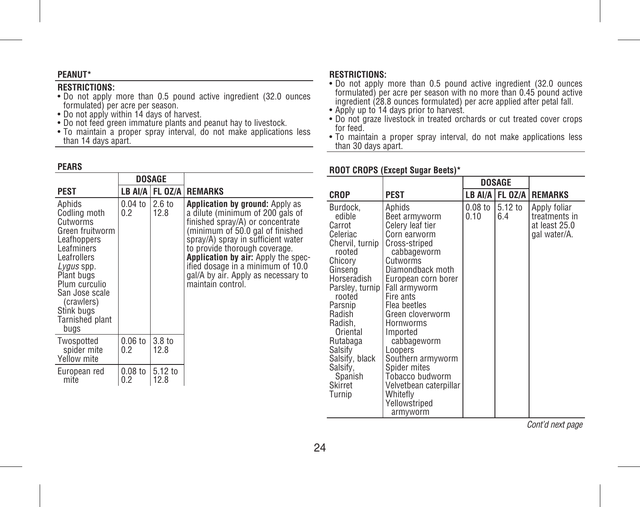### **PEANUT\***

## **RESTRICTIONS:**

- Do not apply more than 0.5 pound active ingredient (32.0 ounces formulated) per acre per season.
- Do not apply within 14 days of harvest.
- Do not feed green immature plants and peanut hay to livestock.
- To maintain a proper spray interval, do not make applications less than 14 days apart.

### **PEARS**

|                                                                                                                                                                                                             |                 | DOSAGE           |                          |                                                                                                                                                                                                                                                                                                                                                            |
|-------------------------------------------------------------------------------------------------------------------------------------------------------------------------------------------------------------|-----------------|------------------|--------------------------|------------------------------------------------------------------------------------------------------------------------------------------------------------------------------------------------------------------------------------------------------------------------------------------------------------------------------------------------------------|
| PEST                                                                                                                                                                                                        |                 |                  |                          | LB AI/A   FL OZ/A   REMARKS                                                                                                                                                                                                                                                                                                                                |
| Aphids<br>Codling moth<br>Cutworms<br>Leafhoppers<br>Leafminers<br>Leafrollers<br>Lygus spp.<br>Plant bugs<br>Plum curculio<br>San Jose scale<br>(crawlers)<br>Stink bugs<br><b>Tarnished plant</b><br>bugs | Green fruitworm | $0.04$ to<br>0.2 | $2.6 \text{ to}$<br>12.8 | Application by ground: Apply as<br>a dilute (minimum of 200 gals of<br>finished spray/A) or concentrate<br>(minimum of 50.0 gal of finished<br>spray/A) spray in sufficient water<br>to provide thorough coverage.<br>Application by air: Apply the spec-<br>ified dosage in a minimum of 10.0<br>gal/A by air. Apply as necessary to<br>maintain control. |
| Twospotted<br>spider mite<br>Yellow mite                                                                                                                                                                    |                 | $0.06$ to<br>0.2 | 3.8 to<br>12.8           |                                                                                                                                                                                                                                                                                                                                                            |
| European red<br>mite                                                                                                                                                                                        |                 | $0.08$ to<br>0.2 | 5.12 to<br>12.8          |                                                                                                                                                                                                                                                                                                                                                            |

#### **RESTRICTIONS:**

- Do not apply more than 0.5 pound active ingredient (32.0 ounces formulated) per acre per season with no more than 0.45 pound active ingredient (28.8 ounces formulated) per acre applied after petal fall.
- Apply up to 14 days prior to harvest.
- Do not graze livestock in treated orchards or cut treated cover crops for feed.
- To maintain a proper spray interval, do not make applications less than 30 days apart.

#### **CROP PEST DOSAGE LB AI/A FL OZ/A REMARKS** Burdock, edible Carrot Celeriac Chervil, turnip rooted Chicory Ginseng Horseradish Parsley, turnip Fall armyworm rooted Parsnip Radish Radish, Oriental Rutabaga Salsify Salsify, black Salsify, Spanish Skirret Turnip Aphids Beet armyworm Celery leaf tier Corn earworm Cross-striped cabbageworm **Cutworms** Diamondback moth European corn borer Fire ants Flea beetles Green cloverworm Hornworms Imported cabbageworm **Loopers** Southern armyworm Spider mites Tobacco budworm Velvetbean caterpillar Whitefly Yellowstriped armyworm 0.08 to 5.12 to 0.10 6.4 Apply foliar treatments in at least 25.0 gal water/A.

#### **ROOT CROPS (Except Sugar Beets)\***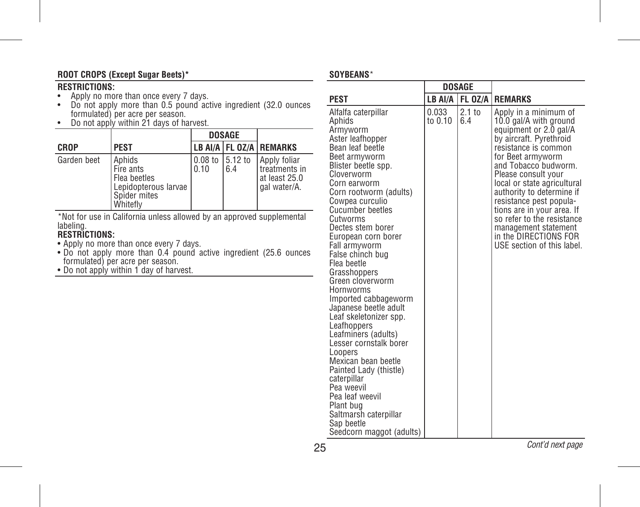# **ROOT CROPS (Except Sugar Beets)\***

# **RESTRICTIONS:**

- 
- Apply no more than once every 7 days. Do not apply more than 0.5 pound active ingredient (32.0 ounces formulated) per acre per season. Do not apply within 21 days of harvest.
- 

|             |                                                                                         |                              | <b>DOSAGE</b> |                                                                |
|-------------|-----------------------------------------------------------------------------------------|------------------------------|---------------|----------------------------------------------------------------|
| <b>CROP</b> | <b>PEST</b>                                                                             |                              |               | LB AI/A FL 0Z/A REMARKS                                        |
| Garden beet | Aphids<br>Fire ants<br>Flea beetles<br>Lepidopterous larvae<br>Spider mites<br>Whitefly | $0.08$ to $15.12$ to<br>0.10 | 6.4           | Apply foliar<br>treatments in<br>at least 25.0<br>gal water/A. |

\*Not for use in California unless allowed by an approved supplemental labeling.

# **RESTRICTIONS:**

- 
- Apply no more than once every 7 days. Do not apply more than 0.4 pound active ingredient (25.6 ounces formulated) per acre per season. Do not apply within 1 day of harvest.
- 

#### **SOYBEANS**\*

|                                                                                                                                                                                                                                                                                                                                                                                                                                                                                                                                                                                                                                                                                                                                     |                  | <b>DOSAGE</b>  |                                                                                                                                                                                                                                                                                                                                                                                                                                    |
|-------------------------------------------------------------------------------------------------------------------------------------------------------------------------------------------------------------------------------------------------------------------------------------------------------------------------------------------------------------------------------------------------------------------------------------------------------------------------------------------------------------------------------------------------------------------------------------------------------------------------------------------------------------------------------------------------------------------------------------|------------------|----------------|------------------------------------------------------------------------------------------------------------------------------------------------------------------------------------------------------------------------------------------------------------------------------------------------------------------------------------------------------------------------------------------------------------------------------------|
| <b>PEST</b>                                                                                                                                                                                                                                                                                                                                                                                                                                                                                                                                                                                                                                                                                                                         | LB AI/A          | <b>FL 0Z/A</b> | <b>REMARKS</b>                                                                                                                                                                                                                                                                                                                                                                                                                     |
| Alfalfa caterpillar<br>Aphids<br>Armyworm<br>Aster leafhopper<br>Bean leaf beetle<br>Beet armyworm<br>Blister beetle spp.<br>Cloverworm<br>Corn earworm<br>Corn rootworm (adults)<br>Cowpea curculio<br><b>Cucumber beetles</b><br>Cutworms<br>Dectes stem borer<br>European corn borer<br>Fall armyworm<br>False chinch bug<br>Flea beetle<br>Grasshoppers<br>Green cloverworm<br>Hornworms<br>Imported cabbageworm<br>Japanese beetle adult<br>Leaf skeletonizer spp.<br>Leafhoppers<br>Leafminers (adults)<br>Lesser cornstalk borer<br>Loopers<br>Mexican bean beetle<br>Painted Lady (thistle)<br>caterpillar<br>Pea weevil<br>Pea leaf weevil<br>Plant bug<br>Saltmarsh caterpillar<br>Sap beetle<br>Seedcorn maggot (adults) | 0.033<br>to 0.10 | 2.1 to<br>6.4  | Apply in a minimum of<br>10.0 gal/A with ground<br>equipment or 2.0 gal/A<br>by aircraft. Pyrethroid<br>resistance is common<br>for Beet armyworm<br>and Tobacco budworm.<br>Please consult your<br>local or state agricultural<br>authority to determine if<br>resistance pest popula-<br>tions are in your area. If<br>so refer to the resistance<br>management statement<br>in the DIRECTIONS FOR<br>USE section of this label. |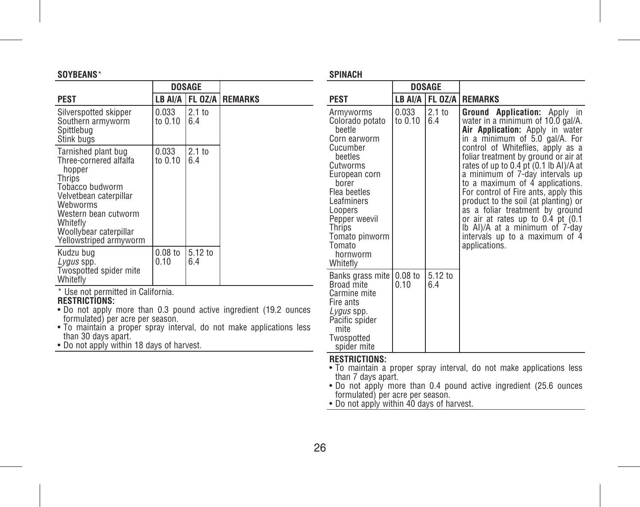# **SOYBEANS**\*

|                                                                                                                                                                                                                    |                   | DOSAGE                   |                        |
|--------------------------------------------------------------------------------------------------------------------------------------------------------------------------------------------------------------------|-------------------|--------------------------|------------------------|
| PEST                                                                                                                                                                                                               | LB AI/A           |                          | <b>FL OZ/A REMARKS</b> |
| Silverspotted skipper<br>Southern armyworm<br>Spittlebua<br>Stink buas                                                                                                                                             | 0.033<br>to 0.10  | 2.1 <sub>to</sub><br>6.4 |                        |
| Tarnished plant bug<br>Three-cornered alfalfa<br>hopper<br>Thrips<br>Tobacco budworm<br>Velvetbean caterpillar<br>Webworms<br>Western bean cutworm<br>Whitefly<br>Woollybear caterpillar<br>Yellowstriped armyworm | 0.033<br>to 0.10  | 2.1 <sub>to</sub><br>6.4 |                        |
| Kudzu bug<br>Lygus spp.<br>Twospotted spider mite<br>Whitefly                                                                                                                                                      | $0.08$ to<br>0.10 | 5.12 to<br>6.4           |                        |

\* Use not permitted in California.

# **RESTRICTIONS:**

- Do not apply more than 0.3 pound active ingredient (19.2 ounces formulated) per acre per season.
- To maintain a proper spray interval, do not make applications less than 30 days apart.
- Do not apply within 18 days of harvest.

# **SPINACH**

|                                                                                                                                                                                                                                             |                    | DOSAGE         |                                                                                                                                                                                                                                                                                                                                                                                                                                                                                                                                                                                             |
|---------------------------------------------------------------------------------------------------------------------------------------------------------------------------------------------------------------------------------------------|--------------------|----------------|---------------------------------------------------------------------------------------------------------------------------------------------------------------------------------------------------------------------------------------------------------------------------------------------------------------------------------------------------------------------------------------------------------------------------------------------------------------------------------------------------------------------------------------------------------------------------------------------|
| <b>PEST</b>                                                                                                                                                                                                                                 | LB AI/A            |                | <b>FL 0Z/A REMARKS</b>                                                                                                                                                                                                                                                                                                                                                                                                                                                                                                                                                                      |
| Armyworms<br>Colorado potato<br>beetle<br>Corn earworm<br>Cucumber<br>beetles<br>Cutworms<br>European corn<br>horer<br>Flea beetles<br>Leafminers<br>Loopers<br>Pepper weevil<br>Thrips<br>Tomato pinworm<br>Tomato<br>hornworm<br>Whitefly | 0.033<br>to 0.10   | $2.1$ to<br>64 | <b>Application:</b> Apply in<br>Ground<br>water in a minimum of 10.0 gal/A.<br>Air Application: Apply in water<br>in a minimum of 5.0 gal/A. For<br>control of Whiteflies, apply as a<br>foliar treatment by ground or air at<br>rates of up to 0.4 pt (0.1 lb Al)/A at<br>a minimum of 7-day intervals up<br>to a maximum of 4 applications.<br>For control of Fire ants, apply this<br>product to the soil (at planting) or<br>as a foliar treatment by ground<br>or air at rates up to 0.4 pt (0.1)<br>lb Al)/A at a minimum of 7-day<br>intervals up to a maximum of 4<br>applications. |
| Banks grass mite<br>Broad mite<br>Carmine mite<br>Fire ants<br>Lygus spp.<br>Pacific spider<br>mite<br>Twospotted<br>spider mite                                                                                                            | $0.08$ to<br>0 1 0 | 5.12 to<br>6.4 |                                                                                                                                                                                                                                                                                                                                                                                                                                                                                                                                                                                             |

# **RESTRICTIONS:**

- To maintain a proper spray interval, do not make applications less
- than 7 days apart. Do not apply more than 0.4 pound active ingredient (25.6 ounces formulated) per acre per season. Do not apply within 40 days of harvest.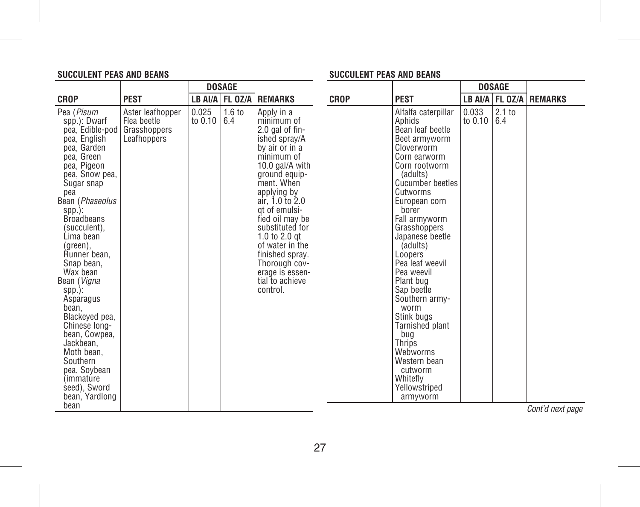# **SUCCULENT PEAS AND BEANS**

# **SUCCULENT PEAS AND BEANS**

|                                                                                                                                                                                                                                                                                                                                                                                                                                                                                                                    |                                                                |                  | <b>DOSAGE</b>            |                                                                                                                                                                                                                                                                                                                                                                     |             |                                                                                                                                                                                                                                                                                                                                                                                                                                                                                                          |                  | <b>DOSAGE</b>            |                             |
|--------------------------------------------------------------------------------------------------------------------------------------------------------------------------------------------------------------------------------------------------------------------------------------------------------------------------------------------------------------------------------------------------------------------------------------------------------------------------------------------------------------------|----------------------------------------------------------------|------------------|--------------------------|---------------------------------------------------------------------------------------------------------------------------------------------------------------------------------------------------------------------------------------------------------------------------------------------------------------------------------------------------------------------|-------------|----------------------------------------------------------------------------------------------------------------------------------------------------------------------------------------------------------------------------------------------------------------------------------------------------------------------------------------------------------------------------------------------------------------------------------------------------------------------------------------------------------|------------------|--------------------------|-----------------------------|
| <b>CROP</b>                                                                                                                                                                                                                                                                                                                                                                                                                                                                                                        | <b>PEST</b>                                                    |                  | LB AI/A FL 0Z/A          | <b>REMARKS</b>                                                                                                                                                                                                                                                                                                                                                      | <b>CROP</b> | <b>PEST</b>                                                                                                                                                                                                                                                                                                                                                                                                                                                                                              |                  |                          | LB AI/A   FL OZ/A   REMARKS |
| Pea (Pisum<br>spp.): Dwarf<br>pea, Edible-pod<br>pea, English<br>pea. Garden<br>pea, Green<br>pea, Pigeon<br>pea, Snow pea,<br>Sugar snap<br>pea<br>Bean (Phaseolus<br>$spp.$ :<br><b>Broadbeans</b><br>(succulent),<br>Lima bean<br>(green),<br>Runner bean.<br>Snap bean,<br>Wax bean<br>Bean (Vigna<br>$spp.$ :<br>Asparagus<br>bean.<br>Blackeyed pea,<br>Chinese Iona-<br>bean, Cowpea,<br>Jackbean.<br>Moth bean.<br>Southern<br>pea, Soybean<br><i>(immature)</i><br>seed), Sword<br>bean, Yardlong<br>bean | Aster leafhopper<br>Flea beetle<br>Grasshoppers<br>Leafhoppers | 0.025<br>to 0.10 | 1.6 <sub>to</sub><br>6.4 | Apply in a<br>minimum of<br>2.0 gal of fin-<br>ished spray/A<br>by air or in a<br>minimum of<br>10.0 gal/A with<br>ground equip-<br>ment. When<br>applying by<br>air. 1.0 to 2.0<br>at of emulsi-<br>fied oil may be<br>substituted for<br>1.0 to 2.0 $qt$<br>of water in the<br>finished spray.<br>Thorough cov-<br>erage is essen-<br>tial to achieve<br>control. |             | Alfalfa caterpillar<br>Aphids<br>Bean leaf beetle<br>Beet armvworm<br>Cloverworm<br>Corn earworm<br>Corn rootworm<br>(adults)<br><b>Cucumber beetles</b><br>Cutworms<br>European corn<br>borer<br>Fall armyworm<br>Grasshoppers<br>Japanese beetle<br>(adults)<br>Loopers<br>Pea leaf weevil<br>Pea weevil<br>Plant bug<br>Sap beetle<br>Southern army-<br>worm<br>Stink buas<br><b>Tarnished plant</b><br>bug<br>Thrips<br>Webworms<br>Western bean<br>cutworm<br>Whitefly<br>Yellowstriped<br>armyworm | 0.033<br>to 0.10 | 2.1 <sub>to</sub><br>6.4 | Cont'd next nage            |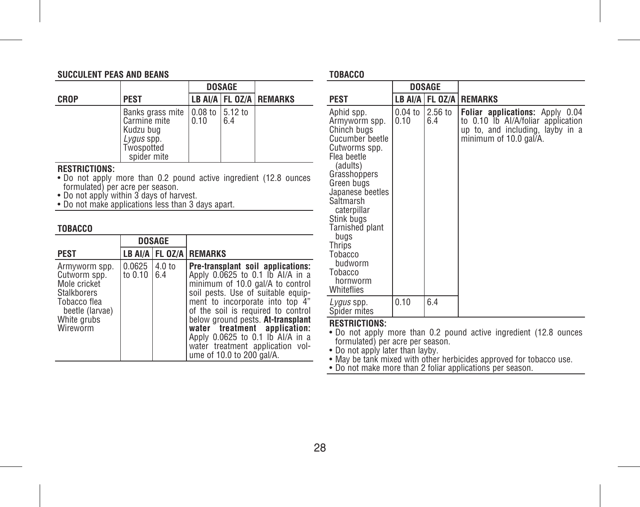# **SUCCULENT PEAS AND BEANS**

|             |                                                                                                                                          |      | <b>DOSAGE</b> |                             |
|-------------|------------------------------------------------------------------------------------------------------------------------------------------|------|---------------|-----------------------------|
| <b>CROP</b> | <b>PEST</b>                                                                                                                              |      |               | LB AI/A   FL OZ/A   REMARKS |
|             | Banks grass mite $\vert 0.08 \rangle$ to $\vert 5.12 \rangle$ to<br>Carmine mite<br>Kudzu bug<br>Lygus spp.<br>Twospotted<br>spider mite | 0.10 | 6.4           |                             |

# **RESTRICTIONS:**

- Do not apply more than 0.2 pound active ingredient (12.8 ounces
- 
- formulated) per acre per season. Do not apply within 3 days of harvest. Do not make applications less than 3 days apart.

# **TOBACCO**

|                                                                                                                                   | <b>DOSAGE</b>       |               |                                                                                                                                                                                                                                                                                                                                                                                                    |
|-----------------------------------------------------------------------------------------------------------------------------------|---------------------|---------------|----------------------------------------------------------------------------------------------------------------------------------------------------------------------------------------------------------------------------------------------------------------------------------------------------------------------------------------------------------------------------------------------------|
| <b>PEST</b>                                                                                                                       |                     |               | LB AI/A FL 0Z/A REMARKS                                                                                                                                                                                                                                                                                                                                                                            |
| Armyworm spp.<br>Cutworm spp.<br>Mole cricket<br><b>Stalkborers</b><br>Tobacco flea<br>beetle (larvae)<br>White grubs<br>Wireworm | 0.0625<br>to $0.10$ | 4.0 to<br>6.4 | Pre-transplant soil applications:<br>Apply 0.0625 to 0.1 lb AI/A in a<br>minimum of 10.0 gal/A to control<br>soil pests. Use of suitable equip-<br>ment to incorporate into top 4"<br>of the soil is required to control<br>below ground pests. At-transplant<br>water treatment application:<br>Apply 0.0625 to 0.1 lb Al/A in a<br>water treatment application vol-<br>ume of 10.0 to 200 gal/A. |

#### **TOBACCO**

|                                                                                                                                                                                                                                                                                                       | <b>DOSAGE</b>     |                |                                                                                                                                     |
|-------------------------------------------------------------------------------------------------------------------------------------------------------------------------------------------------------------------------------------------------------------------------------------------------------|-------------------|----------------|-------------------------------------------------------------------------------------------------------------------------------------|
| PEST                                                                                                                                                                                                                                                                                                  |                   |                | LB AI/A   FL 0Z/A   REMARKS                                                                                                         |
| Aphid spp.<br>Armyworm spp.<br>Chinch bugs<br>Cucumber beetle<br>Cutworms spp.<br>Flea beetle<br>(adults)<br>Grasshoppers<br>Green bugs<br>Japanese beetles<br>Saltmarsh<br>caterpillar<br>Stink buas<br>Tarnished plant<br>bugs<br>Thrips<br>Tobacco<br>budworm<br>Tobacco<br>hornworm<br>Whiteflies | $0.04$ to<br>0.10 | 2.56 to<br>6.4 | Foliar applications: Apply 0.04<br>to 0.10 lb Al/A/foliar application<br>up to, and including, layby in a<br>minimum of 10.0 gal/A. |
| Lygus spp.<br>Spider mites                                                                                                                                                                                                                                                                            | 0.10              | 6.4            |                                                                                                                                     |

#### **RESTRICTIONS:**

• Do not apply more than 0.2 pound active ingredient (12.8 ounces formulated) per acre per season. • Do not apply later than layby. • May be tank mixed with other herbicides approved for tobacco use. • Do not make more than 2 foliar applications per season.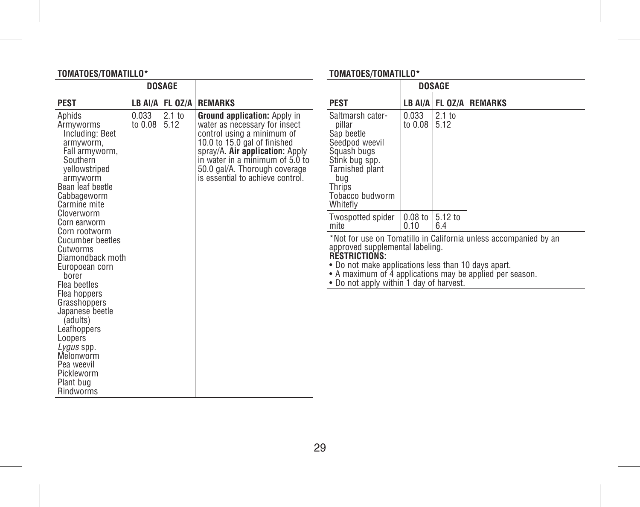# **TOMATOES/TOMATILLO\***

|                                                                                                                                                                                                                                                                       | <b>DOSAGE</b>         |                   |                                                                                                                                                                                                                                                                        |                                                                                                                                                                                                                       |                   | <b>DOSAGE</b>  |                                                                  |
|-----------------------------------------------------------------------------------------------------------------------------------------------------------------------------------------------------------------------------------------------------------------------|-----------------------|-------------------|------------------------------------------------------------------------------------------------------------------------------------------------------------------------------------------------------------------------------------------------------------------------|-----------------------------------------------------------------------------------------------------------------------------------------------------------------------------------------------------------------------|-------------------|----------------|------------------------------------------------------------------|
| <b>PEST</b>                                                                                                                                                                                                                                                           |                       |                   | LB AI/A   FL 0Z/A   REMARKS                                                                                                                                                                                                                                            | <b>PEST</b>                                                                                                                                                                                                           |                   |                | LB AI/A   FL 0Z/A   REMARKS                                      |
| Aphids<br>Armyworms<br>Including: Beet<br>armyworm,<br>Fall armyworm,<br>Southern<br>vellowstriped<br>armvworm<br>Bean leaf beetle<br>Cabbageworm<br>Carmine mite                                                                                                     | 0.033<br>to 0.08 5.12 | 2.1 <sub>to</sub> | Ground application: Apply in<br>water as necessary for insect<br>control using a minimum of<br>10.0 to 15.0 gal of finished<br>spray/A. Air application: Apply<br>in water in a minimum of 5.0 to<br>50.0 gal/A. Thorough coverage<br>is essential to achieve control. | Saltmarsh cater-<br>pillar<br>San beetle<br>Seedpod weevil<br>Squash bugs<br>Stink bug spp.<br><b>Tarnished plant</b><br>bug<br>Thrips<br>Tobacco budworm<br>Whitefly                                                 | 0.033<br>to 0.08  | 2.1 to<br>5.12 |                                                                  |
| Cloverworm<br>Corn earworm<br>Corn rootworm                                                                                                                                                                                                                           |                       |                   |                                                                                                                                                                                                                                                                        | Twospotted spider<br>mite                                                                                                                                                                                             | $0.08$ to<br>0.10 | 5.12 to<br>6.4 |                                                                  |
| Cucumber beetles<br>Cutworms<br>Diamondback moth<br>Europoean corn<br>borer<br>Flea beetles<br>Flea hoppers<br>Grasshoppers<br>Japanese beetle<br>(adults)<br>Leafhoppers<br>Loopers<br>Lygus spp.<br>Melonworm<br>Pea weevil<br>Pickleworm<br>Plant bug<br>Rindworms |                       |                   |                                                                                                                                                                                                                                                                        | approved supplemental labeling.<br><b>RESTRICTIONS:</b><br>• Do not make applications less than 10 days apart.<br>• A maximum of 4 applications may be applied per season.<br>• Do not apply within 1 day of harvest. |                   |                | *Not for use on Tomatillo in California unless accompanied by an |

# **TOMATOES/TOMATILLO\***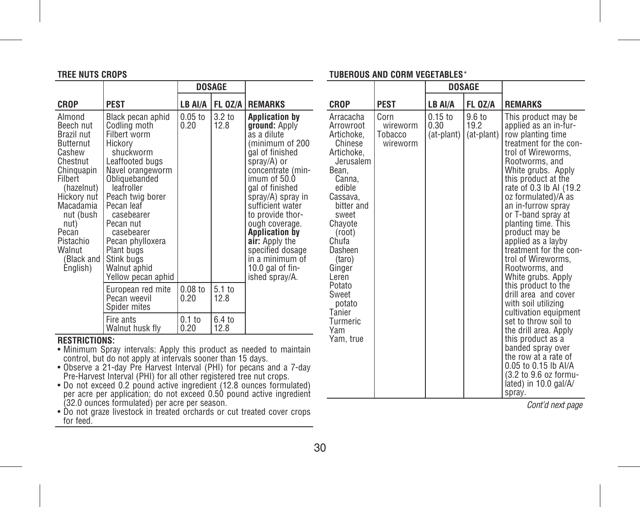#### **TREE NUTS CROPS**

# **TUBEROUS AND CORM VEGETABLES**\*

|                                                                                                                                                                                                                                 |                                                                                                                                                                                                                                                                                                                  | DOSAGE            |                           |                                                                                                                                                                                                                                                                                                                                                                            |
|---------------------------------------------------------------------------------------------------------------------------------------------------------------------------------------------------------------------------------|------------------------------------------------------------------------------------------------------------------------------------------------------------------------------------------------------------------------------------------------------------------------------------------------------------------|-------------------|---------------------------|----------------------------------------------------------------------------------------------------------------------------------------------------------------------------------------------------------------------------------------------------------------------------------------------------------------------------------------------------------------------------|
| CROP                                                                                                                                                                                                                            | <b>PEST</b>                                                                                                                                                                                                                                                                                                      | LB AI/A           | FL OZ/A                   | <b>REMARKS</b>                                                                                                                                                                                                                                                                                                                                                             |
| Almond<br>Beech nut<br>Brazil nut<br><b>Butternut</b><br>Cashew<br>Chestnut<br>Chinguapin<br>Filbert<br>(hazelnut)<br>Hickory nut<br>Macadamia<br>nut (bush<br>nut)<br>Pecan<br>Pistachio<br>Walnut<br>(Black and I<br>English) | Black pecan aphid<br>Codling moth<br>Filbert worm<br>Hickorv<br>shuckworm<br>Leaffooted bugs<br>Navel orangeworm<br>Obliquebanded<br>leafroller<br>Peach twig borer<br>Pecan leaf<br>casebearer<br>Pecan nut<br>casebearer<br>Pecan phylloxera<br>Plant bugs<br>Stink bugs<br>Walnut aphid<br>Yellow pecan aphid | $0.05$ to<br>0.20 | 3.2 to<br>12.8            | <b>Application by</b><br>ground: Apply<br>as a dilute<br>minimum of 200<br>gal of finished<br>spray/A) or<br>concentrate (min-<br>imum of 50.0<br>gal of finished<br>spray/A) spray in<br>sufficient water<br>to provide thor-<br>ough coverage.<br><b>Application by</b><br>air: Apply the<br>specified dosage<br>in a minimum of<br>10.0 gal of $fin-$<br>ished spray/A. |
|                                                                                                                                                                                                                                 | European red mite<br>Pecan weevil<br>Spider mites                                                                                                                                                                                                                                                                | $0.08$ to<br>0.20 | 5.1 <sub>to</sub><br>12.8 |                                                                                                                                                                                                                                                                                                                                                                            |
|                                                                                                                                                                                                                                 | Fire ants<br>Walnut husk fly                                                                                                                                                                                                                                                                                     | $0.1$ to<br>0.20  | 6.4 to<br>12.8            |                                                                                                                                                                                                                                                                                                                                                                            |

# **RESTRICTIONS:**

- Minimum Spray intervals: Apply this product as needed to maintain<br>Control, but do not apply at intervals sooner than 15 days.<br>• Observe a 21-day Pre Harvest Interval (PHI) for pecans and a 7-day<br>• Pre-Harvest Interval (P
- 
- Do not exceed 0.2 pound active ingredient (12.8 ounces formulated)<br>per acre per application; do not exceed 0.50 pound active ingredient<br>(32.0 ounces formulated) per acre per season.<br>• Do not graze livestock in treated or
- for feed.

|                                                                                                                                                                                                                                                                                         |                                         | DOSAGE                          |                                        |                                                                                                                                                                                                                                                                                                                                                                                                                                                                                                                                                                                                                                                                                                                                              |
|-----------------------------------------------------------------------------------------------------------------------------------------------------------------------------------------------------------------------------------------------------------------------------------------|-----------------------------------------|---------------------------------|----------------------------------------|----------------------------------------------------------------------------------------------------------------------------------------------------------------------------------------------------------------------------------------------------------------------------------------------------------------------------------------------------------------------------------------------------------------------------------------------------------------------------------------------------------------------------------------------------------------------------------------------------------------------------------------------------------------------------------------------------------------------------------------------|
| CROP                                                                                                                                                                                                                                                                                    | <b>PEST</b>                             | LB AI/A                         | <b>FL 0Z/A</b>                         | <b>REMARKS</b>                                                                                                                                                                                                                                                                                                                                                                                                                                                                                                                                                                                                                                                                                                                               |
| Arracacha<br>Arrowroot<br>Artichoke.<br>Chinese<br>Artichoke.<br>Jerusalem<br>Bean.<br>Canna.<br>edible<br>Cassava.<br>bitter and<br>sweet<br>Chavote<br>(root)<br>Chufa<br>Dasheen<br>(taro)<br>Ginger<br>Leren<br>Potato<br>Sweet<br>potato<br>Tanier<br>Turmeric<br>Yam<br>Yam, true | Corn<br>wireworm<br>Tobacco<br>wireworm | $0.15$ to<br>0.30<br>(at-plant) | $9.6 \text{ to}$<br>19.2<br>(at-plant) | This product may be<br>applied as an in-fur-<br>row planting time<br>treatment for the con-<br>trol of Wireworms.<br>Rootworms, and<br>White grubs. Apply<br>this product at the<br>rate of 0.3 lb AI (19.2)<br>oz formulated)/A as<br>an in-furrow spray<br>or T-band spray at<br>planting time. This<br>product may be<br>applied as a layby<br>treatment for the con-<br>trol of Wireworms.<br>Rootworms, and<br>White grubs. Apply<br>this product to the<br>drill area and cover<br>with soil utilizing<br>cultivation equipment<br>set to throw soil to<br>the drill area. Apply<br>this product as a<br>banded spray over<br>the row at a rate of<br>0.05 to 0.15 lb AI/A<br>(3.2 to 9.6 oz formu-<br>lated) in 10.0 gal/A/<br>spray. |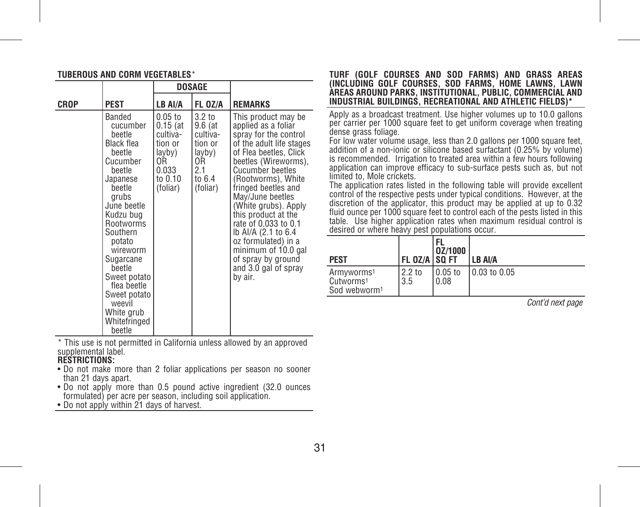| TUBEROUS AND CORM VEGETABLES* |  |  |
|-------------------------------|--|--|
|                               |  |  |

|      |                                                                                                                                                                                                                                                                                                              | DOSAGE                                                                                         |                                                                                                  |                                                                                                                                                                                                                                                                                                                                                                                                                                                    |
|------|--------------------------------------------------------------------------------------------------------------------------------------------------------------------------------------------------------------------------------------------------------------------------------------------------------------|------------------------------------------------------------------------------------------------|--------------------------------------------------------------------------------------------------|----------------------------------------------------------------------------------------------------------------------------------------------------------------------------------------------------------------------------------------------------------------------------------------------------------------------------------------------------------------------------------------------------------------------------------------------------|
| CROP | <b>PEST</b>                                                                                                                                                                                                                                                                                                  | LB AI/A                                                                                        | FL OZ/A                                                                                          | <b>REMARKS</b>                                                                                                                                                                                                                                                                                                                                                                                                                                     |
|      | Banded<br>cucumber<br>beetle<br>Black flea<br>beetle<br>Cucumber<br>beetle<br>Japanese<br>beetle<br>grubs<br>June beetle<br>Kudzu bug<br>Rootworms<br>Southern<br>potato<br>wireworm<br>Sugarcane<br>beetle<br>Sweet potato<br>flea beetle<br>Sweet potato<br>weevil<br>White grub<br>Whitefringed<br>beetle | $0.05$ to<br>$0.15$ (at<br>cultiva-<br>tion or<br>layby)<br>0R<br>0.033<br>to 0.10<br>(foliar) | 3.2 <sub>to</sub><br>9.6 (at<br>cultiva-<br>tion or<br>layby)<br>0R<br>2.1<br>to 6.4<br>(foliar) | This product may be<br>applied as a foliar<br>spray for the control<br>of the adult life stages<br>of Flea beetles, Click<br>beetles (Wireworms),<br><b>Cucumber beetles</b><br>(Rootworms), White<br>fringed beetles and<br>May/June beetles<br>(White grubs). Apply<br>this product at the<br>rate of 0.033 to 0.1<br>lb Al/A (2.1 to 6.4<br>oz formulated) in a<br>minimum of 10.0 gal<br>of spray by ground<br>and 3.0 gal of spray<br>by air. |

\* This use is not permitted in California unless allowed by an approved supplemental label.

#### **RESTRICTIONS:**

- Do not make more than 2 foliar applications per season no sooner than 21 days apart.
- Do not apply more than 0.5 pound active ingredient (32.0 ounces formulated) per acre per season, including soil application.
- Do not apply within 21 days of harvest.

#### **TURF (GOLF COURSES AND SOD FARMS) AND GRASS AREAS (INCLUDING GOLF COURSES, SOD FARMS, HOME LAWNS, LAWN AREAS AROUND PARKS, INSTITUTIONAL, PUBLIC, COMMERCIAL AND INDUSTRIAL BUILDINGS, RECREATIONAL AND ATHLETIC FIELDS)\***

Apply as a broadcast treatment. Use higher volumes up to 10.0 gallons per carrier per 1000 square feet to get uniform coverage when treating dense grass foliage.

For low water volume usage, less than 2.0 gallons per 1000 square feet, addition of a non-ionic or silicone based surfactant (0.25% by volume) is recommended. Irrigation to treated area within a few hours following application can improve efficacy to sub-surface pests such as, but not limited to, Mole crickets.

The application rates listed in the following table will provide excellent control of the respective pests under typical conditions. However, at the discretion of the applicator, this product may be applied at up to 0.32 fluid ounce per 1000 square feet to control each of the pests listed in this table. Use higher application rates when maximum residual control is desired or where heavy pest populations occur.

| <b>PEST</b>                                                                 | <b>FL 0Z/A   SQ FT</b>   | 0Z/1000           | <b>LB AVA</b> |
|-----------------------------------------------------------------------------|--------------------------|-------------------|---------------|
| Armyworms <sup>1</sup><br>Cutworms <sup>1</sup><br>Sod webworm <sup>1</sup> | 2.2 <sub>to</sub><br>3.5 | l 0.05 to<br>0.08 | 0.03 to 0.05  |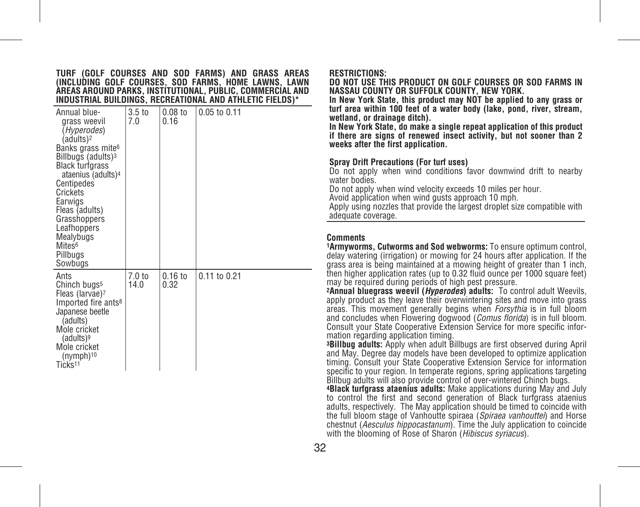#### **TURF (GOLF COURSES AND SOD FARMS) AND GRASS AREAS (INCLUDING GOLF COURSES, SOD FARMS, HOME LAWNS, LAWN AREAS AROUND PARKS, INSTITUTIONAL, PUBLIC, COMMERCIAL AND INDUSTRIAL BUILDINGS, RECREATIONAL AND ATHLETIC FIELDS)\***

| Annual blue-<br>arass weevil<br>(Hyperodes)<br>(adults) <sup>2</sup><br>Banks grass mite <sup>6</sup><br>Billbugs (adults) <sup>3</sup><br><b>Black turfgrass</b><br>ataenius (adults) <sup>4</sup><br>Centipedes<br>Crickets<br>Earwigs<br>Fleas (adults)<br>Grasshoppers<br>Leafhoppers<br>Mealybugs<br>Mites <sup>6</sup><br>Pillbugs<br>Sowbugs | 3.5 <sub>to</sub><br>7.0 | $0.08$ to<br>0.16 | $0.05$ to $0.11$ |
|-----------------------------------------------------------------------------------------------------------------------------------------------------------------------------------------------------------------------------------------------------------------------------------------------------------------------------------------------------|--------------------------|-------------------|------------------|
| Ants<br>Chinch bugs <sup>5</sup><br>Fleas (larvae)7<br>Imported fire ants <sup>8</sup><br>Japanese beetle<br>(adults)<br>Mole cricket<br>(adults) <sup>9</sup><br>Mole cricket<br>(nymph) <sup>10</sup><br>Ticks <sup>11</sup>                                                                                                                      | $7.0 \text{ to}$<br>14.0 | $0.16$ to<br>0.32 | $0.11$ to $0.21$ |

#### **RESTRICTIONS:**

**DO NOT USE THIS PRODUCT ON GOLF COURSES OR SOD FARMS IN NASSAU COUNTY OR SUFFOLK COUNTY, NEW YORK.**

**In New York State, this product may NOT be applied to any grass or turf area within 100 feet of a water body (lake, pond, river, stream, wetland, or drainage ditch).**

**In New York State, do make a single repeat application of this product if there are signs of renewed insect activity, but not sooner than 2 weeks after the first application.**

#### **Spray Drift Precautions (For turf uses)**

Do not apply when wind conditions favor downwind drift to nearby water bodies<sup>.</sup>

Do not apply when wind velocity exceeds 10 miles per hour.

Avoid application when wind gusts approach 10 mph.

Apply using nozzles that provide the largest droplet size compatible with adequate coverage.

#### **Comments**

**1Armyworms, Cutworms and Sod webworms:** To ensure optimum control, delay watering (irrigation) or mowing for 24 hours after application. If the grass area is being maintained at a mowing height of greater than 1 inch, then higher application rates (up to 0.32 fluid ounce per 1000 square feet) may be required during periods of high pest pressure.

**2Annual bluegrass weevil (***Hyperodes***) adults:** To control adult Weevils, apply product as they leave their overwintering sites and move into grass areas. This movement generally begins when *Forsythia* is in full bloom and concludes when Flowering dogwood (*Comus florida*) is in full bloom. Consult your State Cooperative Extension Service for more specific information regarding application timing.

**3Billbug adults:** Apply when adult Billbugs are first observed during April and May. Degree day models have been developed to optimize application timing. Consult your State Cooperative Extension Service for information specific to your region. In temperate regions, spring applications targeting Billbug adults will also provide control of over-wintered Chinch bugs.

**4Black turfgrass ataenius adults:** Make applications during May and July to control the first and second generation of Black turfgrass ataenius adults, respectively. The May application should be timed to coincide with the full bloom stage of Vanhoutte spiraea (*Spiraea vanhouttei*) and Horse chestnut (*Aesculus hippocastanum*). Time the July application to coincide with the blooming of Rose of Sharon (*Hibiscus syriacus*).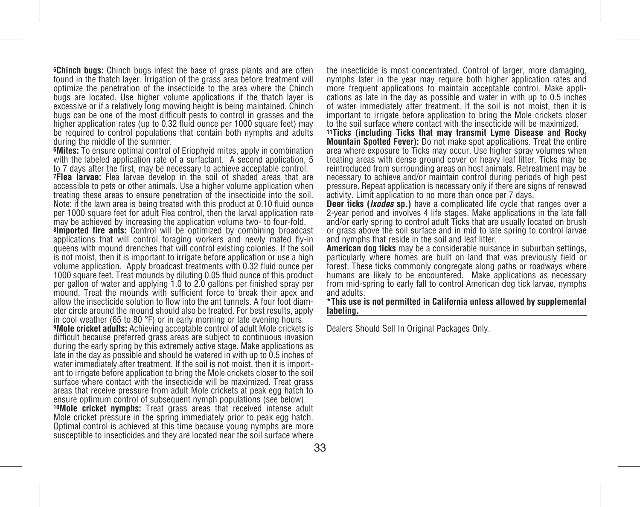**5Chinch bugs:** Chinch bugs infest the base of grass plants and are often found in the thatch layer. Irrigation of the grass area before treatment will optimize the penetration of the insecticide to the area where the Chinch bugs are located. Use higher volume applications if the thatch layer is excessive or if a relatively long mowing height is being maintained. Chinch bugs can be one of the most difficult pests to control in grasses and the higher application rates (up to 0.32 fluid ounce per 1000 square feet) may be required to control populations that contain both nymphs and adults during the middle of the summer.

**6Mites:** To ensure optimal control of Eriophyid mites, apply in combination with the labeled application rate of a surfactant. A second application, 5 to 7 days after the first, may be necessary to achieve acceptable control.

**7Flea larvae:** Flea larvae develop in the soil of shaded areas that are accessible to pets or other animals. Use a higher volume application when treating these areas to ensure penetration of the insecticide into the soil. Note: if the lawn area is being treated with this product at 0.10 fluid ounce per 1000 square feet for adult Flea control, then the larval application rate may be achieved by increasing the application volume two- to four-fold.

**8lmported fire ants:** Control will be optimized by combining broadcast applications that will control foraging workers and newly mated fly-in queens with mound drenches that will control existing colonies. If the soil is not moist, then it is important to irrigate before application or use a high volume application. Apply broadcast treatments with 0.32 fluid ounce per 1000 square feet. Treat mounds by diluting 0.05 fluid ounce of this product per gallon of water and applying 1.0 to 2.0 gallons per finished spray per mound. Treat the mounds with sufficient force to break their apex and allow the insecticide solution to flow into the ant tunnels. A four foot diameter circle around the mound should also be treated. For best results, apply in cool weather (65 to 80 °F) or in early morning or late evening hours.

**9Mole cricket adults:** Achieving acceptable control of adult Mole crickets is difficult because preferred grass areas are subject to continuous invasion during the early spring by this extremely active stage. Make applications as late in the day as possible and should be watered in with up to 0.5 inches of water immediately after treatment. If the soil is not moist, then it is important to irrigate before application to bring the Mole crickets closer to the soil surface where contact with the insecticide will be maximized. Treat grass areas that receive pressure from adult Mole crickets at peak egg hatch to ensure optimum control of subsequent nymph populations (see below).

**10Mole cricket nymphs:** Treat grass areas that received intense adult Mole cricket pressure in the spring immediately prior to peak egg hatch. Optimal control is achieved at this time because young nymphs are more susceptible to insecticides and they are located near the soil surface where the insecticide is most concentrated. Control of larger, more damaging, nymphs later in the year may require both higher application rates and cations as late in the day as possible and water in with up to 0.5 inches of water immediately after treatment. If the soil is not moist, then it is important to irrigate before application to bring the Mole crickets closer to the soil surface where contact with the insecticide will be maximized.

**11Ticks (including Ticks that may transmit Lyme Disease and Rocky Mountain Spotted Fever):** Do not make spot applications. Treat the entire area where exposure to Ticks may occur. Use higher spray volumes when treating areas with dense ground cover or heavy leaf litter. Ticks may be reintroduced from surrounding areas on host animals. Retreatment may be necessary to achieve and/or maintain control during periods of high pest pressure. Repeat application is necessary only if there are signs of renewed activity. Limit application to no more than once per 7 days.

**Deer ticks (***Ixodes* **sp.)** have a complicated life cycle that ranges over a 2-year period and involves 4 life stages. Make applications in the late fall and/or early spring to control adult Ticks that are usually located on brush or grass above the soil surface and in mid to late spring to control larvae and nymphs that reside in the soil and leaf litter.

**American dog ticks** may be a considerable nuisance in suburban settings, particularly where homes are built on land that was previously field or forest. These ticks commonly congregate along paths or roadways where humans are likely to be encountered. Make applications as necessary from mid-spring to early fall to control American dog tick larvae, nymphs and adults.

**\*This use is not permitted in California unless allowed by supplemental labeling.**

Dealers Should Sell In Original Packages Only.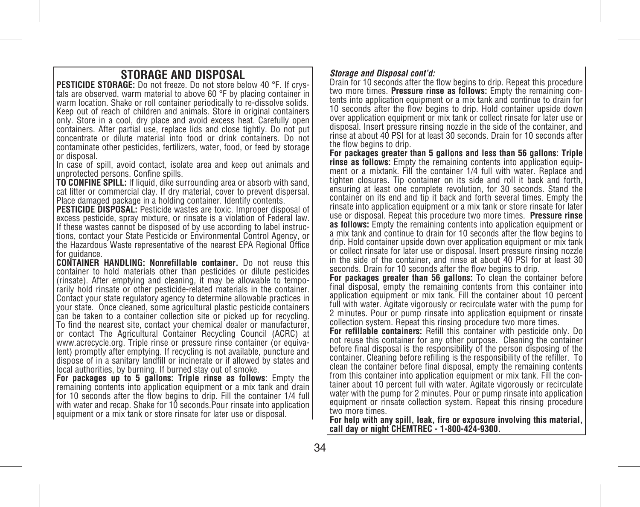**STORAGE AND DISPOSAL**<br>**PESTICIDE STORAGE:** Do not freeze, Do not store below 40 °F. If crystals are observed, warm material to above 60 °F by placing container in warm location. Shake or roll container periodically to re-dissolve solids. Keep out of reach of children and animals. Store in original containers only. Store in a cool, dry place and avoid excess heat. Carefully open containers. After partial use, replace lids and close tightly. Do not put concentrate or dilute material into food or drink containers. Do not contaminate other pesticides, fertilizers, water, food, or feed by storage or disposal.

In case of spill, avoid contact, isolate area and keep out animals and unprotected persons. Confine spills.

**TO CONFINE SPILL:** If liquid, dike surrounding area or absorb with sand, cat litter or commercial clay. If dry material, cover to prevent dispersal. Place damaged package in a holding container. Identify contents.

**PESTICIDE DISPOSAL:** Pesticide wastes are toxic. Improper disposal of excess pesticide, spray mixture, or rinsate is a violation of Federal law. If these wastes cannot be disposed of by use according to label instructions, contact your State Pesticide or Environmental Control Agency, or the Hazardous Waste representative of the nearest EPA Regional Office for quidance.

**CONTAINER HANDLING: Nonrefillable container.** Do not reuse this container to hold materials other than pesticides or dilute pesticides (rinsate). After emptying and cleaning, it may be allowable to temporarily hold rinsate or other pesticide-related materials in the container. Contact your state regulatory agency to determine allowable practices in your state. Once cleaned, some agricultural plastic pesticide containers can be taken to a container collection site or picked up for recycling. To find the nearest site, contact your chemical dealer or manufacturer, or contact The Agricultural Container Recycling Council (ACRC) at www.acrecycle.org. Triple rinse or pressure rinse container (or equivalent) promptly after emptying. If recycling is not available, puncture and dispose of in a sanitary landfill or incinerate or if allowed by states and local authorities, by burning. If burned stay out of smoke.

**For packages up to 5 gallons: Triple rinse as follows:** Empty the remaining contents into application equipment or a mix tank and drain for 10 seconds after the flow begins to drip. Fill the container 1/4 full with water and recap. Shake for 10 seconds.Pour rinsate into application equipment or a mix tank or store rinsate for later use or disposal.

#### *Storage and Disposal cont'd:*

Drain for 10 seconds after the flow begins to drip. Repeat this procedure two more times. **Pressure rinse as follows:** Empty the remaining contents into application equipment or a mix tank and continue to drain for 10 seconds after the flow begins to drip. Hold container upside down over application equipment or mix tank or collect rinsate for later use or disposal. Insert pressure rinsing nozzle in the side of the container, and rinse at about 40 PSI for at least 30 seconds. Drain for 10 seconds after the flow begins to drip.

**For packages greater than 5 gallons and less than 56 gallons: Triple rinse as follows:** Empty the remaining contents into application equipment or a mixtank. Fill the container 1/4 full with water. Replace and tighten closures. Tip container on its side and roll it back and forth, ensuring at least one complete revolution, for 30 seconds. Stand the container on its end and tip it back and forth several times. Empty the rinsate into application equipment or a mix tank or store rinsate for later use or disposal. Repeat this procedure two more times. **Pressure rinse as follows:** Empty the remaining contents into application equipment or a mix tank and continue to drain for 10 seconds after the flow begins to drip. Hold container upside down over application equipment or mix tank or collect rinsate for later use or disposal. Insert pressure rinsing nozzle in the side of the container, and rinse at about 40 PSI for at least 30 seconds. Drain for 10 seconds after the flow begins to drip.

**For packages greater than 56 gallons:** To clean the container before final disposal, empty the remaining contents from this container into application equipment or mix tank. Fill the container about 10 percent full with water. Agitate vigorously or recirculate water with the pump for 2 minutes. Pour or pump rinsate into application equipment or rinsate collection system. Repeat this rinsing procedure two more times.

**For refillable containers:** Refill this container with pesticide only. Do not reuse this container for any other purpose. Cleaning the container before final disposal is the responsibility of the person disposing of the container. Cleaning before refilling is the responsibility of the refiller. To clean the container before final disposal, empty the remaining contents from this container into application equipment or mix tank. Fill the container about 10 percent full with water. Agitate vigorously or recirculate water with the pump for 2 minutes. Pour or pump rinsate into application equipment or rinsate collection system. Repeat this rinsing procedure two more times.

**For help with any spill, leak, fire or exposure involving this material, call day or night CHEMTREC - 1-800-424-9300.**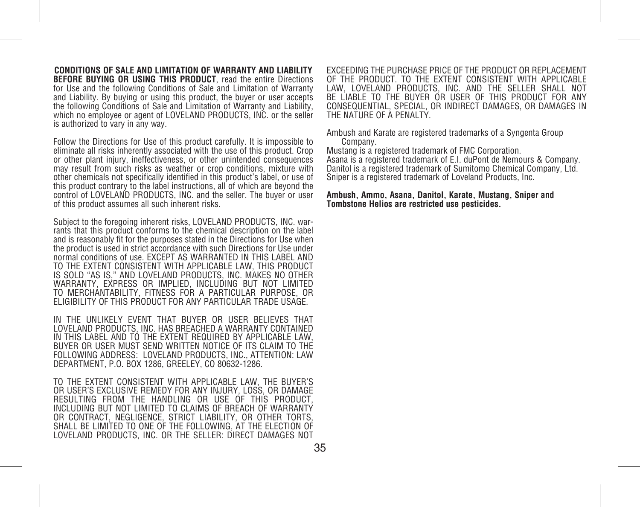**CONDITIONS OF SALE AND LIMITATION OF WARRANTY AND LIABILITY BEFORE BUYING OR USING THIS PRODUCT**, read the entire Directions for Use and the following Conditions of Sale and Limitation of Warranty and Liability. By buying or using this product, the buyer or user accepts the following Conditions of Sale and Limitation of Warranty and Liability, which no employee or agent of LOVELAND PRODUCTS, INC. or the seller is authorized to vary in any way.

Follow the Directions for Use of this product carefully. It is impossible to eliminate all risks inherently associated with the use of this product. Crop or other plant injury, ineffectiveness, or other unintended consequences may result from such risks as weather or crop conditions, mixture with other chemicals not specifically identified in this product's label, or use of this product contrary to the label instructions, all of which are beyond the control of LOVELAND PRODUCTS, INC. and the seller. The buyer or user of this product assumes all such inherent risks.

Subject to the foregoing inherent risks, LOVELAND PRODUCTS, INC. warrants that this product conforms to the chemical description on the label and is reasonably fit for the purposes stated in the Directions for Use when the product is used in strict accordance with such Directions for Use under normal conditions of use. EXCEPT AS WARRANTED IN THIS LABEL AND TO THE EXTENT CONSISTENT WITH APPLICABLE LAW, THIS PRODUCT IS SOLD "AS IS," AND LOVELAND PRODUCTS, INC. MAKES NO OTHER WARRANTY, EXPRESS OR IMPLIED, INCLUDING BUT NOT LIMITED TO MERCHANTABILITY, FITNESS FOR A PARTICULAR PURPOSE, OR ELIGIBILITY OF THIS PRODUCT FOR ANY PARTICULAR TRADE USAGE.

IN THE UNLIKELY EVENT THAT BUYER OR USER BELIEVES THAT LOVELAND PRODUCTS, INC. HAS BREACHED A WARRANTY CONTAINED IN THIS LABEL AND TO THE EXTENT REQUIRED BY APPLICABLE LAW, BUYER OR USER MUST SEND WRITTEN NOTICE OF ITS CLAIM TO THE FOLLOWING ADDRESS: LOVELAND PRODUCTS, INC., ATTENTION: LAW DEPARTMENT, P.O. BOX 1286, GREELEY, CO 80632-1286.

TO THE EXTENT CONSISTENT WITH APPLICABLE LAW, THE BUYER'S OR USER'S EXCLUSIVE REMEDY FOR ANY INJURY, LOSS, OR DAMAGE RESULTING FROM THE HANDLING OR USE OF THIS PRODUCT, INCLUDING BUT NOT LIMITED TO CLAIMS OF BREACH OF WARRANTY OR CONTRACT, NEGLIGENCE, STRICT LIABILITY, OR OTHER TORTS SHALL BE LIMITED TO ONE OF THE FOLLOWING, AT THE ELECTION OF LOVELAND PRODUCTS, INC. OR THE SELLER: DIRECT DAMAGES NOT EXCEEDING THE PURCHASE PRICE OF THE PRODUCT OR REPLACEMENT OF THE PRODUCT. TO THE EXTENT CONSISTENT WITH APPLICABLE LAW, LOVELAND PRODUCTS, INC. AND THE SELLER SHALL NOT BE LIABLE TO THE BUYER OR USER OF THIS PRODUCT FOR ANY CONSEQUENTIAL, SPECIAL, OR INDIRECT DAMAGES, OR DAMAGES IN THE NATURE OF A PENALTY.

Ambush and Karate are registered trademarks of a Syngenta Group Company.

Mustang is a registered trademark of FMC Corporation. Asana is a registered trademark of E.I. duPont de Nemours & Company. Danitol is a registered trademark of Sumitomo Chemical Company, Ltd. Sniper is a registered trademark of Loveland Products, Inc.

**Ambush, Ammo, Asana, Danitol, Karate, Mustang, Sniper and Tombstone Helios are restricted use pesticides.**